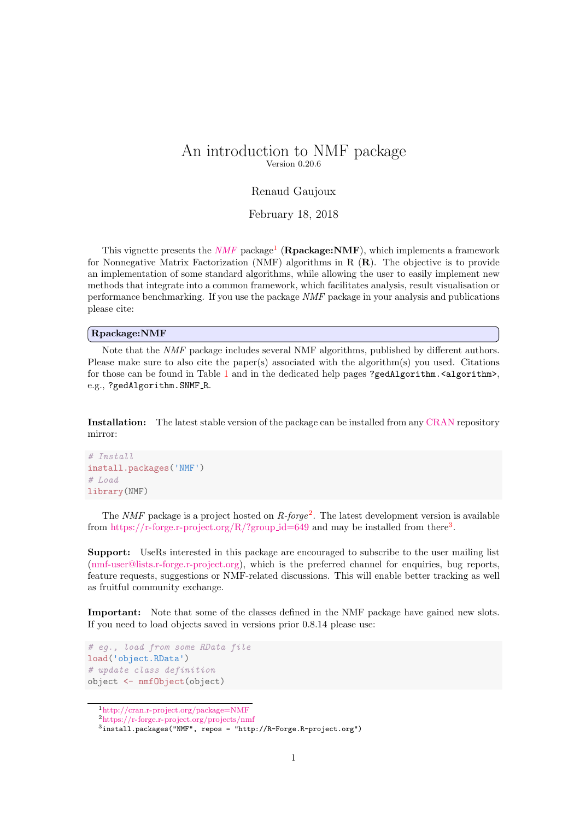# <span id="page-0-3"></span>An introduction to NMF package Version 0.20.6

#### Renaud Gaujoux

February 18, 2018

This vignette presents the  $NMF$  package<sup>[1](#page-0-0)</sup> (**Rpackage:NMF**), which implements a framework for Nonnegative Matrix Factorization (NMF) algorithms in R (R). The objective is to provide an implementation of some standard algorithms, while allowing the user to easily implement new methods that integrate into a common framework, which facilitates analysis, result visualisation or performance benchmarking. If you use the package NMF package in your analysis and publications please cite:

#### Rpackage:NMF

Note that the NMF package includes several NMF algorithms, published by different authors. Please make sure to also cite the paper(s) associated with the algorithm(s) you used. Citations for those can be found in Table [1](#page-4-0) and in the dedicated help pages ?gedAlgorithm.<algorithm>, e.g., ?gedAlgorithm.SNMF R.

Installation: The latest stable version of the package can be installed from any [CRAN](http://cran.r-project.org) repository mirror:

```
# Install
install.packages('NMF')
# Load
library(NMF)
```
The *NMF* package is a project hosted on  $R$ -forge<sup>[2](#page-0-1)</sup>. The latest development version is available from [https://r-forge.r-project.org/R/?group](https://r-forge.r-project.org/R/?group_id=649)\_id=649 and may be installed from there<sup>[3](#page-0-2)</sup>.

Support: UseRs interested in this package are encouraged to subscribe to the user mailing list [\(nmf-user@lists.r-forge.r-project.org\)](https://lists.r-forge.r-project.org/mailman/listinfo/nmf-user), which is the preferred channel for enquiries, bug reports, feature requests, suggestions or NMF-related discussions. This will enable better tracking as well as fruitful community exchange.

Important: Note that some of the classes defined in the NMF package have gained new slots. If you need to load objects saved in versions prior 0.8.14 please use:

```
# eg., load from some RData file
load('object.RData')
# update class definition
object <- nmfObject(object)
```
<span id="page-0-0"></span><sup>1</sup><http://cran.r-project.org/package=NMF>

<span id="page-0-1"></span><sup>2</sup><https://r-forge.r-project.org/projects/nmf>

<span id="page-0-2"></span><sup>3</sup>install.packages("NMF", repos = "http://R-Forge.R-project.org")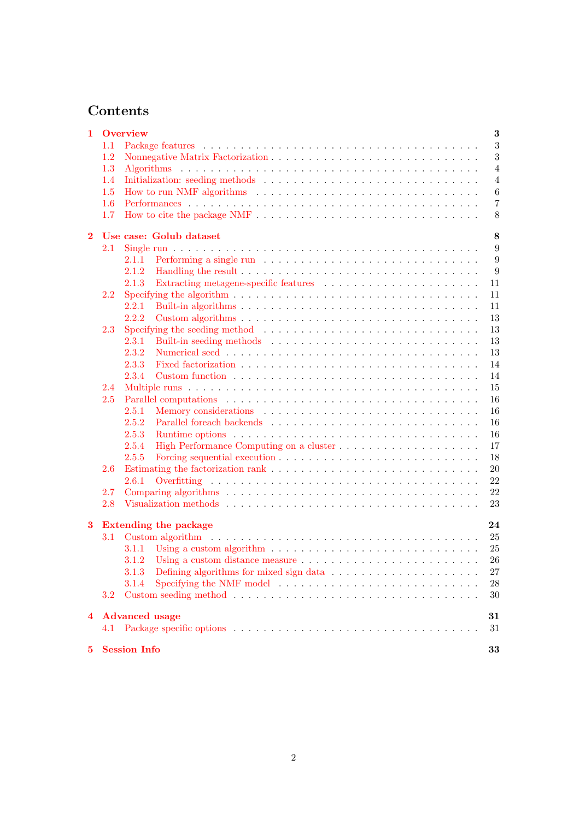# Contents

| $\mathbf{1}$   | Overview |                                                                                                    |                |  |  |
|----------------|----------|----------------------------------------------------------------------------------------------------|----------------|--|--|
|                | 1.1      |                                                                                                    | $\sqrt{3}$     |  |  |
|                | 1.2      |                                                                                                    | 3              |  |  |
|                | 1.3      |                                                                                                    | $\overline{4}$ |  |  |
|                | 1.4      |                                                                                                    | $\overline{4}$ |  |  |
|                | 1.5      |                                                                                                    | $\,6$          |  |  |
|                | 1.6      |                                                                                                    | $\overline{7}$ |  |  |
|                | 1.7      |                                                                                                    | 8              |  |  |
|                |          |                                                                                                    |                |  |  |
| $\mathbf{2}$   |          | Use case: Golub dataset                                                                            | 8              |  |  |
|                | 2.1      |                                                                                                    | 9              |  |  |
|                |          | 2.1.1                                                                                              | 9              |  |  |
|                |          | 2.1.2                                                                                              | 9              |  |  |
|                |          | 2.1.3                                                                                              | 11             |  |  |
|                | 2.2      |                                                                                                    | 11             |  |  |
|                |          | 2.2.1                                                                                              | 11             |  |  |
|                |          | 2.2.2                                                                                              | 13             |  |  |
|                | 2.3      | Specifying the seeding method $\dots \dots \dots \dots \dots \dots \dots \dots \dots \dots \dots$  | 13             |  |  |
|                |          | 2.3.1                                                                                              | 13             |  |  |
|                |          | 2.3.2                                                                                              | 13             |  |  |
|                |          | 2.3.3                                                                                              | 14             |  |  |
|                |          | 2.3.4                                                                                              | 14             |  |  |
|                | 2.4      |                                                                                                    | 15             |  |  |
|                | 2.5      |                                                                                                    | 16             |  |  |
|                |          | 2.5.1                                                                                              | 16             |  |  |
|                |          | 2.5.2                                                                                              | 16             |  |  |
|                |          | 2.5.3                                                                                              | 16             |  |  |
|                |          | 2.5.4                                                                                              | 17             |  |  |
|                |          | 2.5.5                                                                                              | 18             |  |  |
|                | 2.6      |                                                                                                    | $20\,$         |  |  |
|                |          | 2.6.1                                                                                              | 22             |  |  |
|                | 2.7      |                                                                                                    | 22             |  |  |
|                | 2.8      |                                                                                                    | 23             |  |  |
|                |          |                                                                                                    |                |  |  |
| $\bf{3}$       |          | <b>Extending the package</b>                                                                       | 24             |  |  |
|                | 3.1      |                                                                                                    | 25             |  |  |
|                |          | Using a custom algorithm $\ldots \ldots \ldots \ldots \ldots \ldots \ldots \ldots \ldots$<br>3.1.1 | 25             |  |  |
|                |          |                                                                                                    | 26             |  |  |
|                |          | Defining algorithms for mixed sign data<br>3.1.3                                                   | 27             |  |  |
|                |          | 3.1.4                                                                                              | 28             |  |  |
|                | 3.2      |                                                                                                    | 30             |  |  |
|                |          |                                                                                                    |                |  |  |
| $\overline{4}$ |          | <b>Advanced</b> usage                                                                              | 31             |  |  |
|                | 4.1      |                                                                                                    | 31             |  |  |
| 5              |          | <b>Session Info</b>                                                                                | 33             |  |  |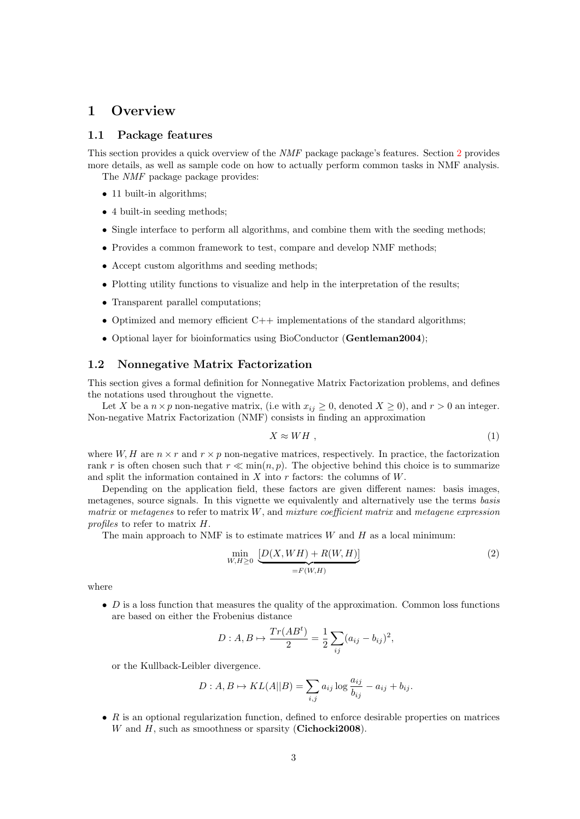# <span id="page-2-0"></span>1 Overview

#### <span id="page-2-1"></span>1.1 Package features

This section provides a quick overview of the NMF package package's features. Section [2](#page-7-1) provides more details, as well as sample code on how to actually perform common tasks in NMF analysis. The NMF package package provides:

- 11 built-in algorithms;
- 4 built-in seeding methods;
- Single interface to perform all algorithms, and combine them with the seeding methods;
- Provides a common framework to test, compare and develop NMF methods;
- Accept custom algorithms and seeding methods;
- Plotting utility functions to visualize and help in the interpretation of the results;
- Transparent parallel computations;
- Optimized and memory efficient  $C++$  implementations of the standard algorithms;
- Optional layer for bioinformatics using BioConductor (Gentleman2004);

#### <span id="page-2-2"></span>1.2 Nonnegative Matrix Factorization

This section gives a formal definition for Nonnegative Matrix Factorization problems, and defines the notations used throughout the vignette.

Let X be a  $n \times p$  non-negative matrix, (i.e with  $x_{ij} \geq 0$ , denoted  $X \geq 0$ ), and  $r > 0$  an integer. Non-negative Matrix Factorization (NMF) consists in finding an approximation

<span id="page-2-4"></span>
$$
X \approx WH \tag{1}
$$

where  $W, H$  are  $n \times r$  and  $r \times p$  non-negative matrices, respectively. In practice, the factorization rank r is often chosen such that  $r \ll \min(n, p)$ . The objective behind this choice is to summarize and split the information contained in  $X$  into r factors: the columns of  $W$ .

Depending on the application field, these factors are given different names: basis images, metagenes, source signals. In this vignette we equivalently and alternatively use the terms basis matrix or metagenes to refer to matrix  $W$ , and mixture coefficient matrix and metagene expression profiles to refer to matrix H.

The main approach to NMF is to estimate matrices  $W$  and  $H$  as a local minimum:

<span id="page-2-3"></span>
$$
\min_{W,H \ge 0} \underbrace{[D(X, WH) + R(W, H)]}_{=F(W,H)} \tag{2}
$$

where

 $\bullet$  D is a loss function that measures the quality of the approximation. Common loss functions are based on either the Frobenius distance

$$
D: A, B \mapsto \frac{Tr(AB^{t})}{2} = \frac{1}{2} \sum_{ij} (a_{ij} - b_{ij})^{2},
$$

or the Kullback-Leibler divergence.

$$
D: A, B \mapsto KL(A||B) = \sum_{i,j} a_{ij} \log \frac{a_{ij}}{b_{ij}} - a_{ij} + b_{ij}.
$$

 $\bullet$  R is an optional regularization function, defined to enforce desirable properties on matrices  $W$  and  $H$ , such as smoothness or sparsity (Cichocki2008).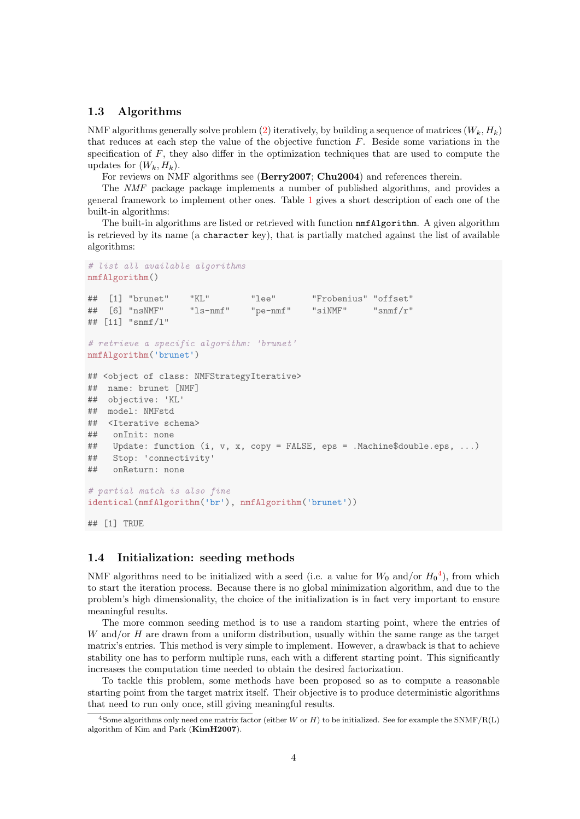### <span id="page-3-0"></span>1.3 Algorithms

NMF algorithms generally solve problem [\(2\)](#page-2-3) iteratively, by building a sequence of matrices  $(W_k, H_k)$ that reduces at each step the value of the objective function F. Beside some variations in the specification of  $F$ , they also differ in the optimization techniques that are used to compute the updates for  $(W_k, H_k)$ .

For reviews on NMF algorithms see (Berry2007; Chu2004) and references therein.

The NMF package package implements a number of published algorithms, and provides a general framework to implement other ones. Table [1](#page-4-0) gives a short description of each one of the built-in algorithms:

The built-in algorithms are listed or retrieved with function nmfAlgorithm. A given algorithm is retrieved by its name (a character key), that is partially matched against the list of available algorithms:

```
# list all available algorithms
nmfAlgorithm()
## [1] "brunet" "KL" "lee" "Frobenius" "offset"
## [6] "nsNMF" "ls-nmf" "pe-nmf" "siNMF" "snmf/r"
## [11] "snmf/l"
# retrieve a specific algorithm: 'brunet'
nmfAlgorithm('brunet')
## <object of class: NMFStrategyIterative>
## name: brunet [NMF]
## objective: 'KL'
## model: NMFstd
## <Iterative schema>
## onInit: none
## Update: function (i, v, x, copy = FALSE, eps = .Machine$double.eps, ...)
## Stop: 'connectivity'
## onReturn: none
# partial match is also fine
identical(nmfAlgorithm('br'), nmfAlgorithm('brunet'))
## [1] TRUE
```
### <span id="page-3-1"></span>1.4 Initialization: seeding methods

NMF algorithms need to be initialized with a seed (i.e. a value for  $W_0$  and/or  $H_0^4$  $H_0^4$ ), from which to start the iteration process. Because there is no global minimization algorithm, and due to the problem's high dimensionality, the choice of the initialization is in fact very important to ensure meaningful results.

The more common seeding method is to use a random starting point, where the entries of  $W$  and/or  $H$  are drawn from a uniform distribution, usually within the same range as the target matrix's entries. This method is very simple to implement. However, a drawback is that to achieve stability one has to perform multiple runs, each with a different starting point. This significantly increases the computation time needed to obtain the desired factorization.

To tackle this problem, some methods have been proposed so as to compute a reasonable starting point from the target matrix itself. Their objective is to produce deterministic algorithms that need to run only once, still giving meaningful results.

<span id="page-3-2"></span><sup>&</sup>lt;sup>4</sup>Some algorithms only need one matrix factor (either W or H) to be initialized. See for example the SNMF/R(L) algorithm of Kim and Park (KimH2007).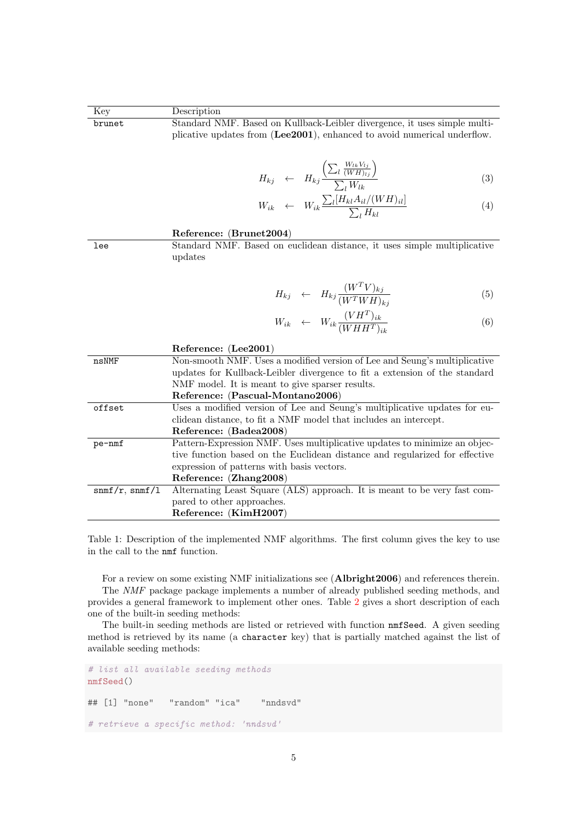<span id="page-4-0"></span>

| Key               | Description                                                                                                                                           |  |  |  |  |
|-------------------|-------------------------------------------------------------------------------------------------------------------------------------------------------|--|--|--|--|
| brunet            | Standard NMF. Based on Kullback-Leibler divergence, it uses simple multi-<br>plicative updates from (Lee2001), enhanced to avoid numerical underflow. |  |  |  |  |
|                   |                                                                                                                                                       |  |  |  |  |
|                   |                                                                                                                                                       |  |  |  |  |
|                   |                                                                                                                                                       |  |  |  |  |
|                   | $H_{kj} \leftarrow H_{kj} \frac{\left(\sum_l \frac{W_{lk} V_{lj}}{(WH)_{lj}}\right)}{\sum_l W_{lk}}$<br>(3)                                           |  |  |  |  |
|                   |                                                                                                                                                       |  |  |  |  |
|                   | $\begin{array}{rcl} W_{ik} & \leftarrow & W_{ik} \frac{\sum_l [H_{kl} A_{il}/(W H)_{il}]}{\sum_l H_{kl}} \end{array}$<br>(4)                          |  |  |  |  |
|                   |                                                                                                                                                       |  |  |  |  |
|                   | Reference: (Brunet2004)                                                                                                                               |  |  |  |  |
| lee               | Standard NMF. Based on euclidean distance, it uses simple multiplicative                                                                              |  |  |  |  |
|                   | updates                                                                                                                                               |  |  |  |  |
|                   |                                                                                                                                                       |  |  |  |  |
|                   |                                                                                                                                                       |  |  |  |  |
|                   | $\begin{array}{rcl} H_{kj} & \leftarrow & H_{kj} \frac{(W^T V)_{kj}}{(W^T W H)_{ki}} \end{array}$<br>(5)                                              |  |  |  |  |
|                   | $W_{ik} \leftarrow W_{ik} \frac{(VH^T)_{ik}}{(WHH^T)_{ik}}$                                                                                           |  |  |  |  |
|                   | (6)                                                                                                                                                   |  |  |  |  |
|                   | Reference: (Lee2001)                                                                                                                                  |  |  |  |  |
| nsNMF             | Non-smooth NMF. Uses a modified version of Lee and Seung's multiplicative                                                                             |  |  |  |  |
|                   | updates for Kullback-Leibler divergence to fit a extension of the standard                                                                            |  |  |  |  |
|                   | NMF model. It is meant to give sparser results.                                                                                                       |  |  |  |  |
|                   | Reference: (Pascual-Montano2006)                                                                                                                      |  |  |  |  |
| offset            | Uses a modified version of Lee and Seung's multiplicative updates for eu-                                                                             |  |  |  |  |
|                   | clidean distance, to fit a NMF model that includes an intercept.                                                                                      |  |  |  |  |
|                   | Reference: (Badea2008)<br>Pattern-Expression NMF. Uses multiplicative updates to minimize an objec-                                                   |  |  |  |  |
| pe-nmf            | tive function based on the Euclidean distance and regularized for effective                                                                           |  |  |  |  |
|                   | expression of patterns with basis vectors.                                                                                                            |  |  |  |  |
|                   | Reference: (Zhang2008)                                                                                                                                |  |  |  |  |
| $snmf/r$ , snmf/1 | Alternating Least Square (ALS) approach. It is meant to be very fast com-                                                                             |  |  |  |  |
|                   | pared to other approaches.                                                                                                                            |  |  |  |  |
|                   | Reference: (KimH2007)                                                                                                                                 |  |  |  |  |

Table 1: Description of the implemented NMF algorithms. The first column gives the key to use in the call to the nmf function.

For a review on some existing NMF initializations see (Albright2006) and references therein. The NMF package package implements a number of already published seeding methods, and provides a general framework to implement other ones. Table [2](#page-5-1) gives a short description of each one of the built-in seeding methods:

The built-in seeding methods are listed or retrieved with function nmfSeed. A given seeding method is retrieved by its name (a character key) that is partially matched against the list of available seeding methods:

# list all available seeding methods nmfSeed() ## [1] "none" "random" "ica" "nndsvd" # retrieve a specific method: 'nndsvd'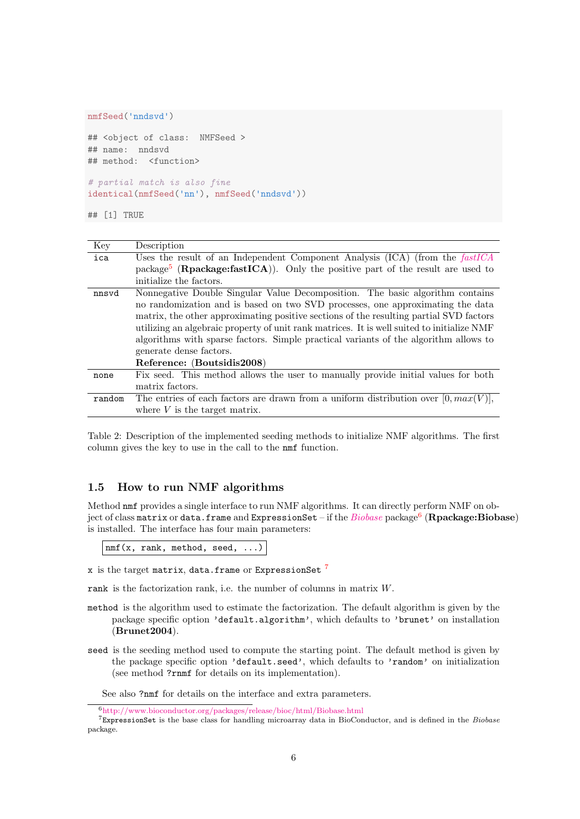```
nmfSeed('nndsvd')
```

```
## <object of class: NMFSeed >
## name: nndsvd
## method: <function>
# partial match is also fine
```
identical(nmfSeed('nn'), nmfSeed('nndsvd'))

## [1] TRUE

<span id="page-5-1"></span>

| Key    | Description                                                                                             |  |  |  |  |
|--------|---------------------------------------------------------------------------------------------------------|--|--|--|--|
| ica    | Uses the result of an Independent Component Analysis (ICA) (from the fastICA                            |  |  |  |  |
|        | package <sup>5</sup> ( <b>R</b> package: fast $ICA$ ). Only the positive part of the result are used to |  |  |  |  |
|        | initialize the factors.                                                                                 |  |  |  |  |
| nnsvd  | Nonnegative Double Singular Value Decomposition. The basic algorithm contains                           |  |  |  |  |
|        | no randomization and is based on two SVD processes, one approximating the data                          |  |  |  |  |
|        | matrix, the other approximating positive sections of the resulting partial SVD factors                  |  |  |  |  |
|        | utilizing an algebraic property of unit rank matrices. It is well suited to initialize NMF              |  |  |  |  |
|        | algorithms with sparse factors. Simple practical variants of the algorithm allows to                    |  |  |  |  |
|        | generate dense factors.                                                                                 |  |  |  |  |
|        | Reference: (Boutsidis2008)                                                                              |  |  |  |  |
| none   | Fix seed. This method allows the user to manually provide initial values for both                       |  |  |  |  |
|        | matrix factors.                                                                                         |  |  |  |  |
| random | The entries of each factors are drawn from a uniform distribution over $[0, max(V)],$                   |  |  |  |  |
|        | where $V$ is the target matrix.                                                                         |  |  |  |  |

Table 2: Description of the implemented seeding methods to initialize NMF algorithms. The first column gives the key to use in the call to the nmf function.

### <span id="page-5-0"></span>1.5 How to run NMF algorithms

Method nmf provides a single interface to run NMF algorithms. It can directly perform NMF on object of class matrix or data.frame and ExpressionSet — if the  $\it Biobase$  $\it Biobase$  package $^6$  $^6$   $({\bf R package: Biobase})$ is installed. The interface has four main parameters:

nmf(x, rank, method, seed, ...)

x is the target matrix, data.frame or ExpressionSet<sup>[7](#page-5-3)</sup>

rank is the factorization rank, i.e. the number of columns in matrix W.

- method is the algorithm used to estimate the factorization. The default algorithm is given by the package specific option 'default.algorithm', which defaults to 'brunet' on installation (Brunet2004).
- seed is the seeding method used to compute the starting point. The default method is given by the package specific option 'default.seed', which defaults to 'random' on initialization (see method ?rnmf for details on its implementation).

See also ?nmf for details on the interface and extra parameters.

<span id="page-5-3"></span><span id="page-5-2"></span><sup>6</sup><http://www.bioconductor.org/packages/release/bioc/html/Biobase.html>

<sup>7</sup>ExpressionSet is the base class for handling microarray data in BioConductor, and is defined in the Biobase package.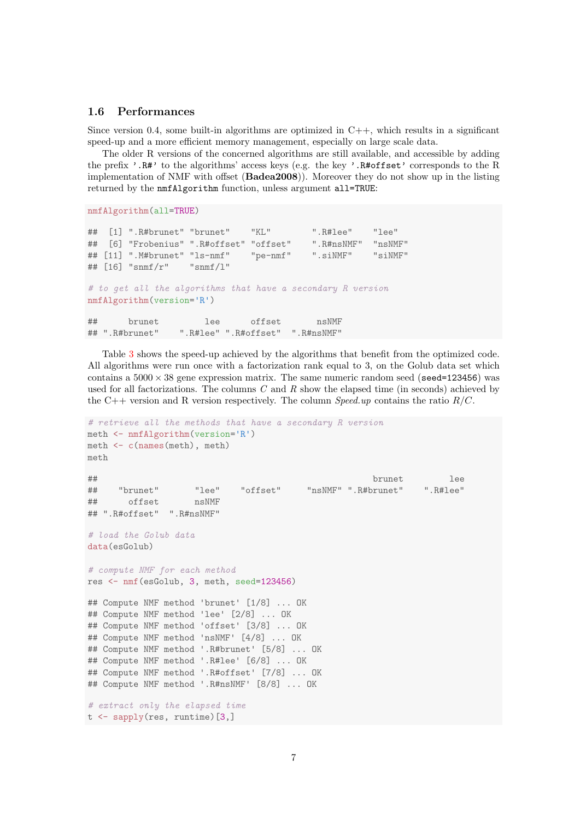### <span id="page-6-0"></span>1.6 Performances

Since version 0.4, some built-in algorithms are optimized in  $C++$ , which results in a significant speed-up and a more efficient memory management, especially on large scale data.

The older R versions of the concerned algorithms are still available, and accessible by adding the prefix '.R#' to the algorithms' access keys (e.g. the key '.R#offset' corresponds to the R implementation of NMF with offset (Badea2008)). Moreover they do not show up in the listing returned by the nmfAlgorithm function, unless argument all=TRUE:

```
nmfAlgorithm(all=TRUE)
```

```
## [1] ".R#brunet" "brunet" "KL" ".R#lee" "lee"
## [6] "Frobenius" ".R#offset" "offset" ".R#nsNMF" "nsNMF"
\## [11] ".M#brunet" "ls-nmf" "pe-nmf" ".siNMF" "siNMF"<br>\## [16] "snmf/r" "snmf/1"
## [16] "snmf/r"
# to get all the algorithms that have a secondary R version
nmfAlgorithm(version='R')
## brunet lee offset nsNMF
## ".R#brunet" ".R#lee" ".R#offset" ".R#nsNMF"
```
Table [3](#page-7-2) shows the speed-up achieved by the algorithms that benefit from the optimized code. All algorithms were run once with a factorization rank equal to 3, on the Golub data set which contains a  $5000 \times 38$  gene expression matrix. The same numeric random seed (seed=123456) was used for all factorizations. The columns  $C$  and  $R$  show the elapsed time (in seconds) achieved by the C++ version and R version respectively. The column *Speed.up* contains the ratio  $R/C$ .

```
# retrieve all the methods that have a secondary R version
meth <- nmfAlgorithm(version='R')
meth <- c(names(meth), meth)
meth
## brunet lee
## "brunet" "lee" "offset" "nsNMF" ".R#brunet" ".R#lee"
## offset nsNMF
## ".R#offset" ".R#nsNMF"
# load the Golub data
data(esGolub)
# compute NMF for each method
res <- nmf(esGolub, 3, meth, seed=123456)
## Compute NMF method 'brunet' [1/8] ... OK
## Compute NMF method 'lee' [2/8] ... OK
## Compute NMF method 'offset' [3/8] ... OK
## Compute NMF method 'nsNMF' [4/8] ... OK
## Compute NMF method '.R#brunet' [5/8] ... OK
## Compute NMF method '.R#lee' [6/8] ... OK
## Compute NMF method '.R#offset' [7/8] ... OK
## Compute NMF method '.R#nsNMF' [8/8] ... OK
# extract only the elapsed time
t <- sapply(res, runtime)[3,]
```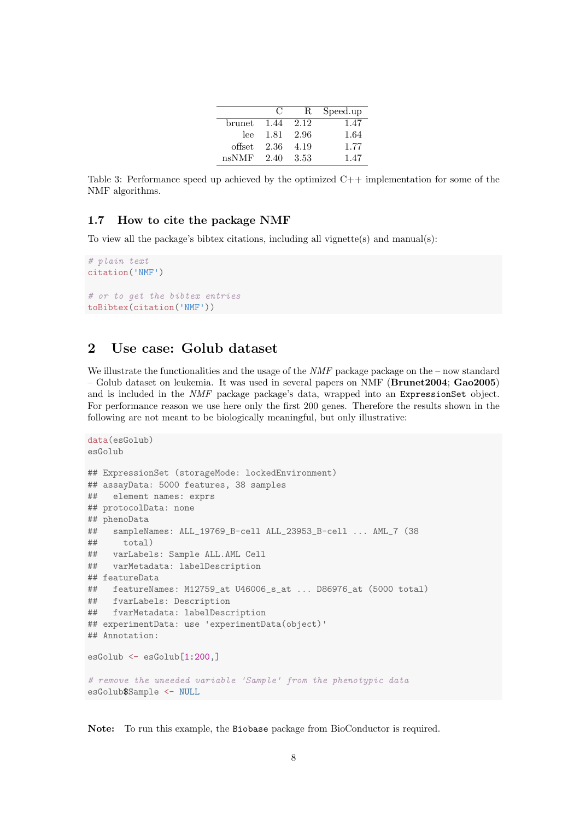|        | $\left( \cdot \right)$ | R.   | Speed.up |
|--------|------------------------|------|----------|
| brunet | 1.44                   | 2.12 | 1.47     |
| lee    | 1.81                   | 2.96 | 1.64     |
| offset | 2.36                   | 4.19 | 1.77     |
| nsNMF  | 2.40                   | 3.53 | 1.47     |

<span id="page-7-2"></span>Table 3: Performance speed up achieved by the optimized C++ implementation for some of the NMF algorithms.

### <span id="page-7-0"></span>1.7 How to cite the package NMF

To view all the package's bibtex citations, including all vignette(s) and manual(s):

```
# plain text
citation('NMF')
# or to get the bibtex entries
toBibtex(citation('NMF'))
```
# <span id="page-7-1"></span>2 Use case: Golub dataset

We illustrate the functionalities and the usage of the  $NMF$  package package on the – now standard – Golub dataset on leukemia. It was used in several papers on NMF (Brunet2004; Gao2005) and is included in the NMF package package's data, wrapped into an ExpressionSet object. For performance reason we use here only the first 200 genes. Therefore the results shown in the following are not meant to be biologically meaningful, but only illustrative:

```
data(esGolub)
esGolub
## ExpressionSet (storageMode: lockedEnvironment)
## assayData: 5000 features, 38 samples
## element names: exprs
## protocolData: none
## phenoData
## sampleNames: ALL_19769_B-cell ALL_23953_B-cell ... AML_7 (38
## total)
## varLabels: Sample ALL.AML Cell
## varMetadata: labelDescription
## featureData
## featureNames: M12759_at U46006_s_at ... D86976_at (5000 total)
## fvarLabels: Description
## fvarMetadata: labelDescription
## experimentData: use 'experimentData(object)'
## Annotation:
esGolub <- esGolub[1:200,]
# remove the uneeded variable 'Sample' from the phenotypic data
esGolub$Sample <- NULL
```
Note: To run this example, the Biobase package from BioConductor is required.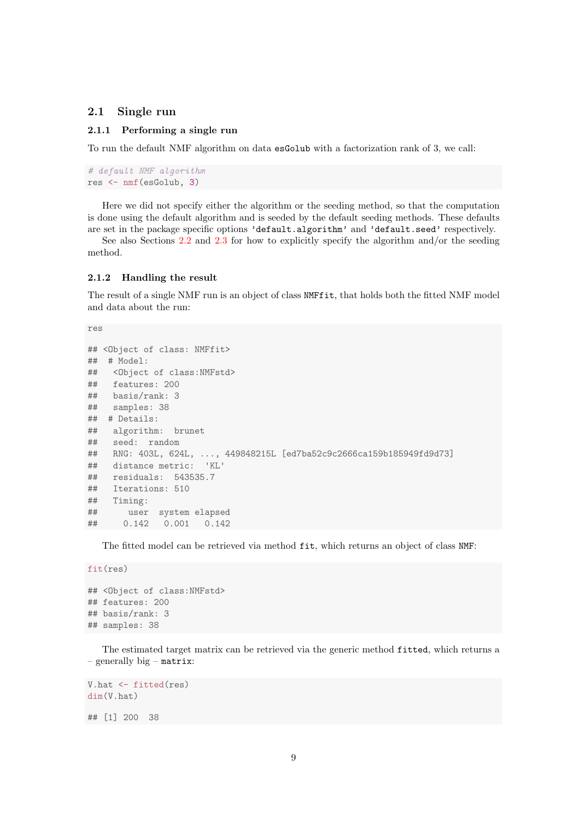### <span id="page-8-0"></span>2.1 Single run

#### <span id="page-8-1"></span>2.1.1 Performing a single run

To run the default NMF algorithm on data esGolub with a factorization rank of 3, we call:

```
# default NMF algorithm
res <- nmf(esGolub, 3)
```
Here we did not specify either the algorithm or the seeding method, so that the computation is done using the default algorithm and is seeded by the default seeding methods. These defaults are set in the package specific options 'default.algorithm' and 'default.seed' respectively.

See also Sections [2.2](#page-10-1) and [2.3](#page-12-1) for how to explicitly specify the algorithm and/or the seeding method.

#### <span id="page-8-2"></span>2.1.2 Handling the result

The result of a single NMF run is an object of class NMFfit, that holds both the fitted NMF model and data about the run:

res

```
## <Object of class: NMFfit>
## # Model:
## <Object of class:NMFstd>
## features: 200
## basis/rank: 3
## samples: 38
## # Details:
## algorithm: brunet
## seed: random
## RNG: 403L, 624L, ..., 449848215L [ed7ba52c9c2666ca159b185949fd9d73]
## distance metric: 'KL'
## residuals: 543535.7
## Iterations: 510
## Timing:
## user system elapsed
## 0.142 0.001 0.142
```
The fitted model can be retrieved via method fit, which returns an object of class NMF:

```
fit(res)
```

```
## <Object of class:NMFstd>
## features: 200
## basis/rank: 3
## samples: 38
```
The estimated target matrix can be retrieved via the generic method fitted, which returns a – generally big – matrix:

```
V.hat <- fitted(res)
dim(V.hat)
```
## [1] 200 38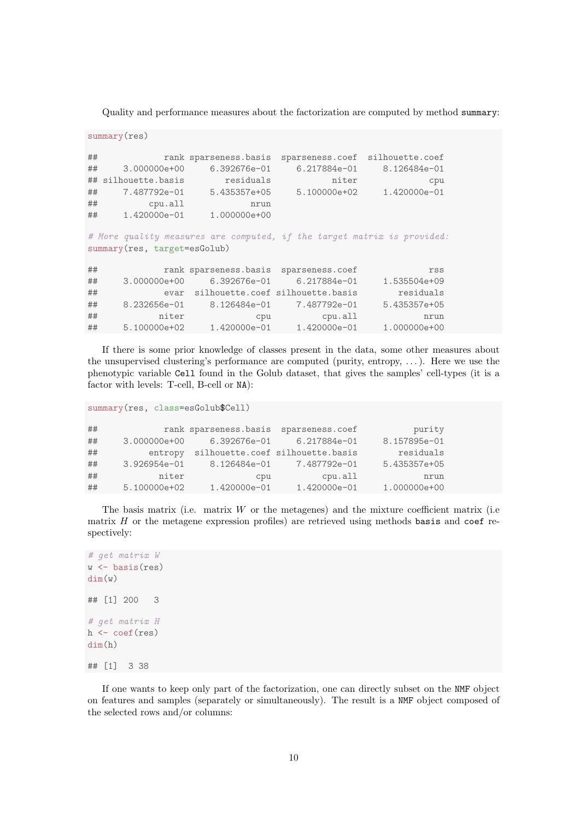Quality and performance measures about the factorization are computed by method summary:

```
summary(res)
## rank sparseness.basis sparseness.coef silhouette.coef
## 3.000000e+00 6.392676e-01 6.217884e-01 8.126484e-01
## silhouette.basis residuals niter cpu
## 7.487792e-01 5.435357e+05 5.100000e+02 1.420000e-01
## cpu.all nrun
## 1.420000e-01 1.000000e+00
# More quality measures are computed, if the target matrix is provided:
summary(res, target=esGolub)
## rank sparseness.basis sparseness.coef rss
## 3.000000e+00 6.392676e-01 6.217884e-01 1.535504e+09
## evar silhouette.coef silhouette.basis residuals
## 8.232656e-01 8.126484e-01 7.487792e-01 5.435357e+05
## niter cpu cpu.all nrun<br>## 5.100000e+02 1.420000e-01 1.420000e-01 1.000000e+00
## 5.100000e+02 1.420000e-01 1.420000e-01
```
If there is some prior knowledge of classes present in the data, some other measures about the unsupervised clustering's performance are computed (purity, entropy, . . . ). Here we use the phenotypic variable Cell found in the Golub dataset, that gives the samples' cell-types (it is a factor with levels: T-cell, B-cell or NA):

```
summary(res, class=esGolub$Cell)
```

| ## |                | rank sparseness.basis | sparseness.coef                  | purity       |
|----|----------------|-----------------------|----------------------------------|--------------|
| ## | 3.000000e+00   | 6.392676e-01          | 6.217884e-01                     | 8.157895e-01 |
| ## | entropy        |                       | silhouette.coef silhouette.basis | residuals    |
| ## | $3.926954e-01$ | 8.126484e-01          | 7.487792e-01                     | 5.435357e+05 |
| ## | niter          | cpu                   | cpu.all                          | nrun         |
| ## | 5.100000e+02   | 1.420000e-01          | 1.420000e-01                     | 1.000000e+00 |

The basis matrix (i.e. matrix  $W$  or the metagenes) and the mixture coefficient matrix (i.e. matrix  $H$  or the metagene expression profiles) are retrieved using methods basis and coef respectively:

```
# get matrix W
w \leftarrow basis(res)dim(w)## [1] 200 3
# get matrix H
h \leftarrow coef(res)
dim(h)
## [1] 3 38
```
If one wants to keep only part of the factorization, one can directly subset on the NMF object on features and samples (separately or simultaneously). The result is a NMF object composed of the selected rows and/or columns: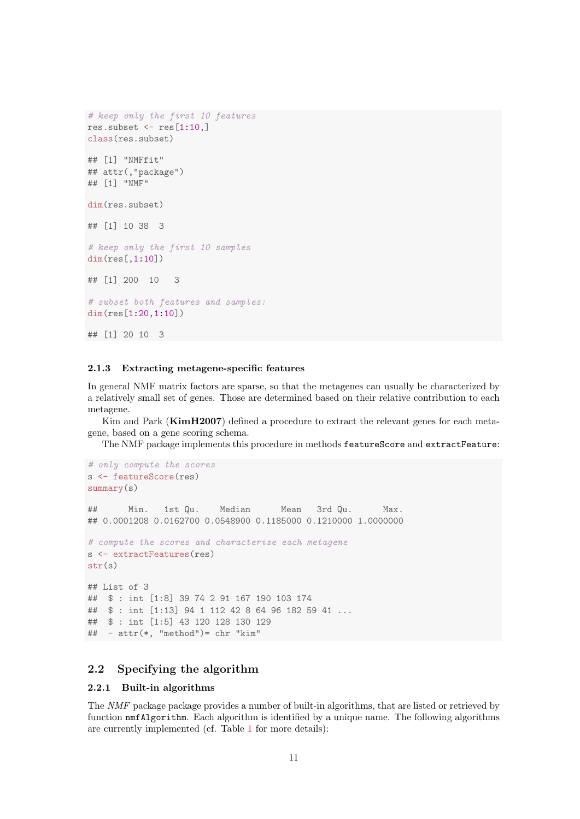```
# keep only the first 10 features
res.subset \leq res[1:10,]
class(res.subset)
## [1] "NMFfit"
## attr(,"package")
## [1] "NMF"
dim(res.subset)
## [1] 10 38 3
# keep only the first 10 samples
dim(res[,1:10])
## [1] 200 10 3
# subset both features and samples:
dim(res[1:20,1:10])
## [1] 20 10 3
```
#### <span id="page-10-0"></span>2.1.3 Extracting metagene-specific features

In general NMF matrix factors are sparse, so that the metagenes can usually be characterized by a relatively small set of genes. Those are determined based on their relative contribution to each metagene.

Kim and Park (KimH2007) defined a procedure to extract the relevant genes for each metagene, based on a gene scoring schema.

The NMF package implements this procedure in methods featureScore and extractFeature:

```
# only compute the scores
s <- featureScore(res)
summary(s)
## Min. 1st Qu. Median Mean 3rd Qu. Max.
## 0.0001208 0.0162700 0.0548900 0.1185000 0.1210000 1.0000000
# compute the scores and characterize each metagene
s <- extractFeatures(res)
str(s)
## List of 3
## $ : int [1:8] 39 74 2 91 167 190 103 174
## $ : int [1:13] 94 1 112 42 8 64 96 182 59 41 ...
## $ : int [1:5] 43 120 128 130 129
## - attr(*, "method")= chr "kim"
```
### <span id="page-10-1"></span>2.2 Specifying the algorithm

#### <span id="page-10-2"></span>2.2.1 Built-in algorithms

The NMF package package provides a number of built-in algorithms, that are listed or retrieved by function nmfAlgorithm. Each algorithm is identified by a unique name. The following algorithms are currently implemented (cf. Table [1](#page-4-0) for more details):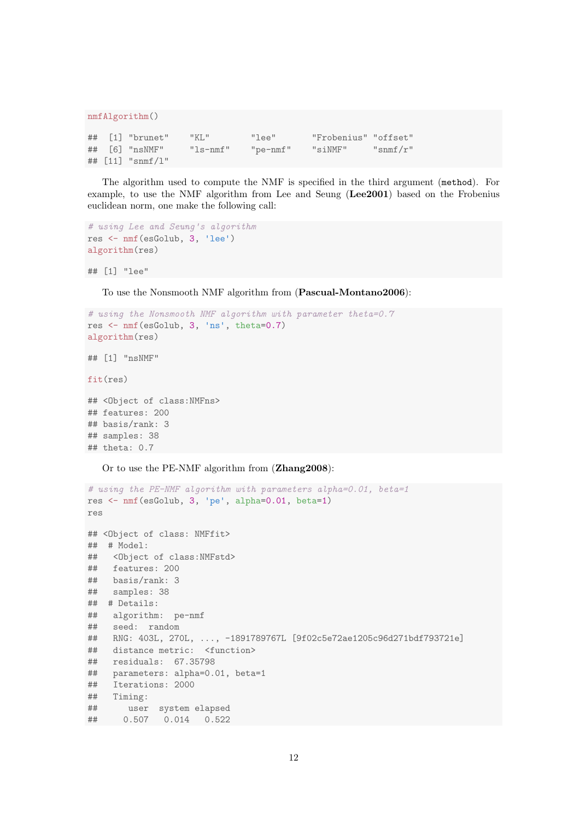```
nmfAlgorithm()
## [1] "brunet" "KL" "lee" "Frobenius" "offset"
## [6] "nsNMF" "ls-nmf" "pe-nmf" "siNMF" "snmf/r"
## [11] "snmf/l"
```
The algorithm used to compute the NMF is specified in the third argument (method). For example, to use the NMF algorithm from Lee and Seung (Lee2001) based on the Frobenius euclidean norm, one make the following call:

```
# using Lee and Seung's algorithm
res <- nmf(esGolub, 3, 'lee')
algorithm(res)
```
## [1] "lee"

To use the Nonsmooth NMF algorithm from (Pascual-Montano2006):

```
# using the Nonsmooth NMF algorithm with parameter theta=0.7
res <- nmf(esGolub, 3, 'ns', theta=0.7)
algorithm(res)
## [1] "nsNMF"
fit(res)
```

```
## <Object of class:NMFns>
## features: 200
## basis/rank: 3
## samples: 38
## theta: 0.7
```
Or to use the PE-NMF algorithm from (Zhang2008):

```
# using the PE-NMF algorithm with parameters alpha=0.01, beta=1
res <- nmf(esGolub, 3, 'pe', alpha=0.01, beta=1)
res
## <Object of class: NMFfit>
## # Model:
## <Object of class:NMFstd>
## features: 200
## basis/rank: 3
## samples: 38
## # Details:
## algorithm: pe-nmf
## seed: random
## RNG: 403L, 270L, ..., -1891789767L [9f02c5e72ae1205c96d271bdf793721e]
## distance metric: <function>
## residuals: 67.35798
## parameters: alpha=0.01, beta=1
## Iterations: 2000
## Timing:
## user system elapsed
## 0.507 0.014 0.522
```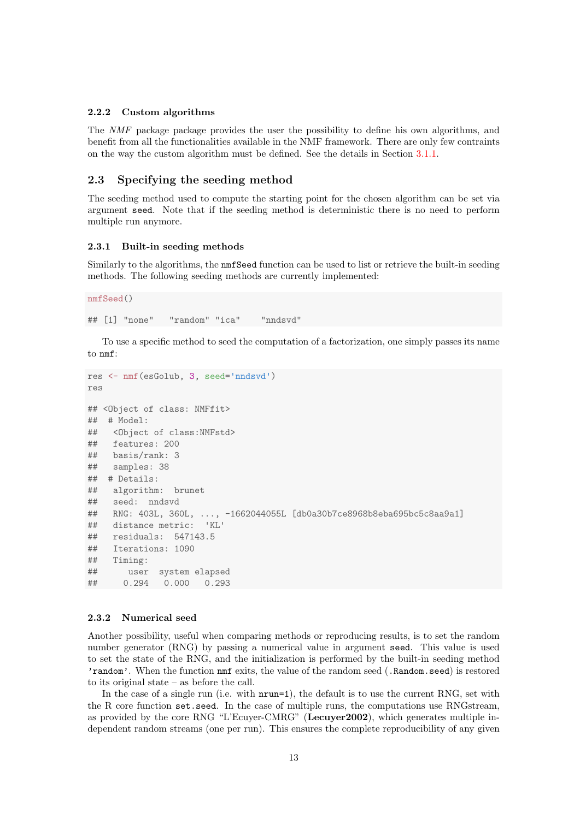#### <span id="page-12-0"></span>2.2.2 Custom algorithms

The NMF package package provides the user the possibility to define his own algorithms, and benefit from all the functionalities available in the NMF framework. There are only few contraints on the way the custom algorithm must be defined. See the details in Section [3.1.1.](#page-24-1)

#### <span id="page-12-1"></span>2.3 Specifying the seeding method

The seeding method used to compute the starting point for the chosen algorithm can be set via argument seed. Note that if the seeding method is deterministic there is no need to perform multiple run anymore.

#### <span id="page-12-2"></span>2.3.1 Built-in seeding methods

Similarly to the algorithms, the nmfSeed function can be used to list or retrieve the built-in seeding methods. The following seeding methods are currently implemented:

nmfSeed()

## [1] "none" "random" "ica" "nndsvd"

To use a specific method to seed the computation of a factorization, one simply passes its name to nmf:

```
res <- nmf(esGolub, 3, seed='nndsvd')
res
## <Object of class: NMFfit>
## # Model:
## <Object of class:NMFstd>
## features: 200
## basis/rank: 3
## samples: 38
## # Details:
## algorithm: brunet
## seed: nndsvd
## RNG: 403L, 360L, ..., -1662044055L [db0a30b7ce8968b8eba695bc5c8aa9a1]
## distance metric: 'KL'
## residuals: 547143.5
## Iterations: 1090
## Timing:
## user system elapsed
## 0.294 0.000 0.293
```
#### <span id="page-12-3"></span>2.3.2 Numerical seed

Another possibility, useful when comparing methods or reproducing results, is to set the random number generator (RNG) by passing a numerical value in argument seed. This value is used to set the state of the RNG, and the initialization is performed by the built-in seeding method 'random'. When the function nmf exits, the value of the random seed (.Random.seed) is restored to its original state – as before the call.

In the case of a single run (i.e. with  $nrun=1$ ), the default is to use the current RNG, set with the R core function set.seed. In the case of multiple runs, the computations use RNGstream, as provided by the core RNG "L'Ecuyer-CMRG" (Lecuyer2002), which generates multiple independent random streams (one per run). This ensures the complete reproducibility of any given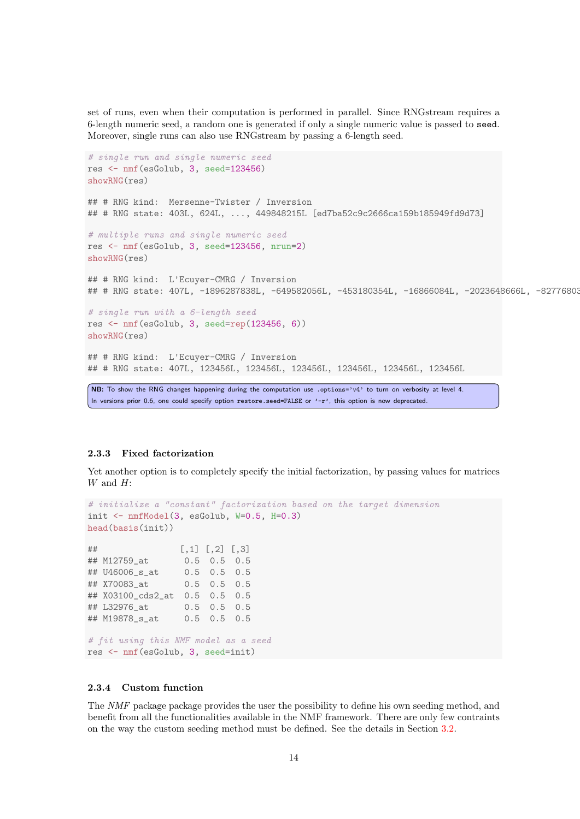set of runs, even when their computation is performed in parallel. Since RNGstream requires a 6-length numeric seed, a random one is generated if only a single numeric value is passed to seed. Moreover, single runs can also use RNGstream by passing a 6-length seed.

```
# single run and single numeric seed
res <- nmf(esGolub, 3, seed=123456)
showRNG(res)
## # RNG kind: Mersenne-Twister / Inversion
## # RNG state: 403L, 624L, ..., 449848215L [ed7ba52c9c2666ca159b185949fd9d73]
# multiple runs and single numeric seed
res <- nmf(esGolub, 3, seed=123456, nrun=2)
showRNG(res)
## # RNG kind: L'Ecuyer-CMRG / Inversion
## # RNG state: 407L, -1896287838L, -649582056L, -453180354L, -16866084L, -2023648666L, -82776803
# single run with a 6-length seed
res <- nmf(esGolub, 3, seed=rep(123456, 6))
showRNG(res)
## # RNG kind: L'Ecuyer-CMRG / Inversion
## # RNG state: 407L, 123456L, 123456L, 123456L, 123456L, 123456L, 123456L
NB: To show the RNG changes happening during the computation use . options='v4' to turn on verbosity at level 4.
In versions prior 0.6, one could specify option restore.seed=FALSE or '-r', this option is now deprecated.
```
#### <span id="page-13-0"></span>2.3.3 Fixed factorization

Yet another option is to completely specify the initial factorization, by passing values for matrices  $W$  and  $H$ :

```
# initialize a "constant" factorization based on the target dimension
init \leq nmfModel(3, esGolub, W=0.5, H=0.3)
head(basis(init))
\sharp \sharp \sharp \left[ 0, 1 \right] \left[ 0, 2 \right] \left[ 0, 3 \right]## M12759_at 0.5 0.5 0.5
## U46006_s_at 0.5 0.5 0.5
## X70083_at 0.5 0.5 0.5
## X03100_cds2_at 0.5 0.5 0.5
## L32976_at 0.5 0.5 0.5
## M19878_s_at 0.5 0.5 0.5
# fit using this NMF model as a seed
res <- nmf(esGolub, 3, seed=init)
```
#### <span id="page-13-1"></span>2.3.4 Custom function

The NMF package package provides the user the possibility to define his own seeding method, and benefit from all the functionalities available in the NMF framework. There are only few contraints on the way the custom seeding method must be defined. See the details in Section [3.2.](#page-29-0)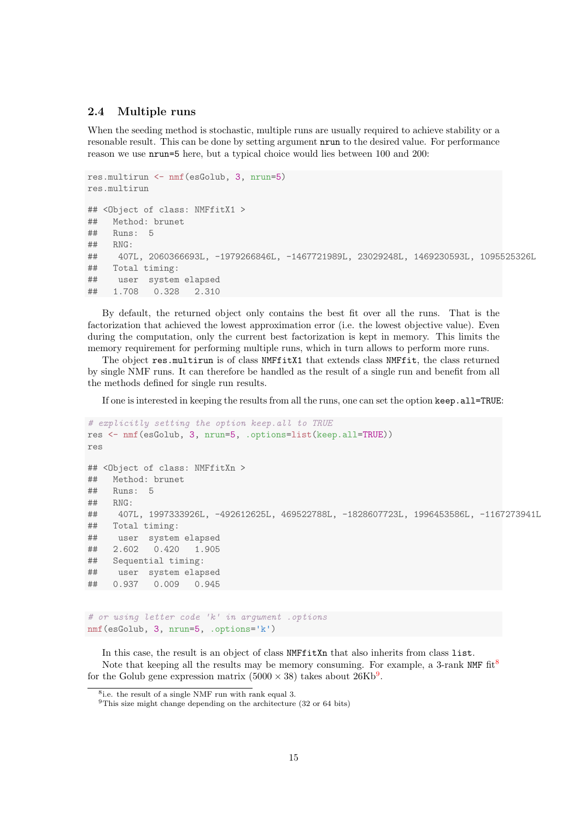### <span id="page-14-0"></span>2.4 Multiple runs

When the seeding method is stochastic, multiple runs are usually required to achieve stability or a resonable result. This can be done by setting argument nrun to the desired value. For performance reason we use nrun=5 here, but a typical choice would lies between 100 and 200:

```
res.multirun <- nmf(esGolub, 3, nrun=5)
res.multirun
## <Object of class: NMFfitX1 >
## Method: brunet
## Runs: 5
## RNG:
## 407L, 2060366693L, -1979266846L, -1467721989L, 23029248L, 1469230593L, 1095525326L
## Total timing:
## user system elapsed
## 1.708 0.328 2.310
```
By default, the returned object only contains the best fit over all the runs. That is the factorization that achieved the lowest approximation error (i.e. the lowest objective value). Even during the computation, only the current best factorization is kept in memory. This limits the memory requirement for performing multiple runs, which in turn allows to perform more runs.

The object res.multirun is of class NMFfitX1 that extends class NMFfit, the class returned by single NMF runs. It can therefore be handled as the result of a single run and benefit from all the methods defined for single run results.

If one is interested in keeping the results from all the runs, one can set the option keep.all=TRUE:

```
# explicitly setting the option keep.all to TRUE
res <- nmf(esGolub, 3, nrun=5, .options=list(keep.all=TRUE))
res
## <Object of class: NMFfitXn >
## Method: brunet
## Runs: 5
\## RNG:
## 407L, 1997333926L, -492612625L, 469522788L, -1828607723L, 1996453586L, -1167273941L
## Total timing:
## user system elapsed
## 2.602 0.420 1.905
## Sequential timing:
## user system elapsed
## 0.937 0.009 0.945
```

```
# or using letter code 'k' in argument .options
nmf(esGolub, 3, nrun=5, .options='k')
```
In this case, the result is an object of class NMFfitXn that also inherits from class list. Note that keeping all the results may be memory consuming. For example, a 3-rank NMF  $\text{fit}^8$  $\text{fit}^8$ for the Golub gene expression matrix  $(5000 \times 38)$  takes about  $26 \text{Kb}^9$  $26 \text{Kb}^9$ .

<span id="page-14-1"></span><sup>8</sup> i.e. the result of a single NMF run with rank equal 3.

<span id="page-14-2"></span> $9$ This size might change depending on the architecture (32 or 64 bits)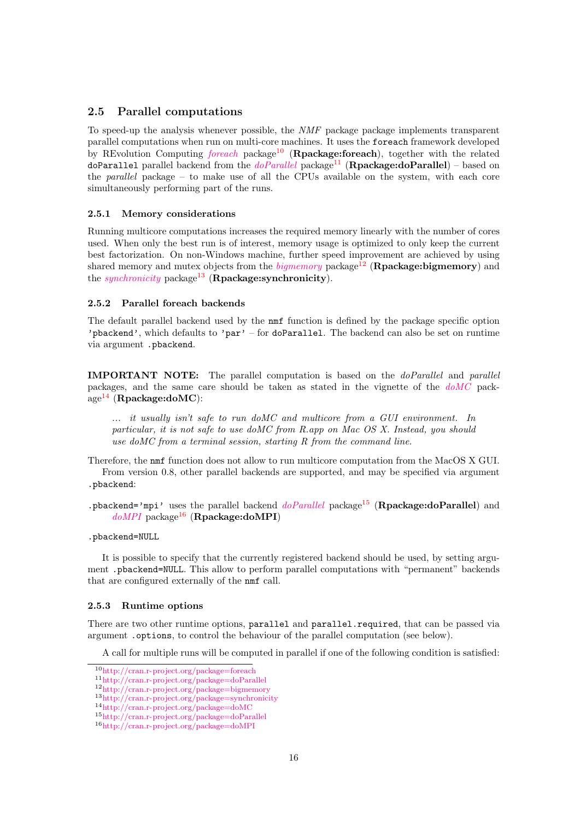### <span id="page-15-0"></span>2.5 Parallel computations

To speed-up the analysis whenever possible, the NMF package package implements transparent parallel computations when run on multi-core machines. It uses the foreach framework developed by REvolution Computing [foreach](http://cran.r-project.org/package=foreach) package<sup>[10](#page-15-4)</sup> (Rpackage:foreach), together with the related [doParallel](http://cran.r-project.org/package=doParallel) parallel backend from the  $doParallel$  package<sup>[11](#page-15-5)</sup> (Rpackage:doParallel) – based on the *parallel* package – to make use of all the CPUs available on the system, with each core simultaneously performing part of the runs.

#### <span id="page-15-1"></span>2.5.1 Memory considerations

Running multicore computations increases the required memory linearly with the number of cores used. When only the best run is of interest, memory usage is optimized to only keep the current best factorization. On non-Windows machine, further speed improvement are achieved by using shared memory and mutex objects from the  $bigmemory$  package<sup>[12](#page-15-6)</sup> (**Rpackage:bigmemory**) and the *[synchronicity](http://cran.r-project.org/package=synchronicity)* package<sup>[13](#page-15-7)</sup> (**Rpackage:synchronicity**).

#### <span id="page-15-2"></span>2.5.2 Parallel foreach backends

The default parallel backend used by the nmf function is defined by the package specific option 'pbackend', which defaults to 'par' – for doParallel. The backend can also be set on runtime via argument .pbackend.

IMPORTANT NOTE: The parallel computation is based on the doParallel and parallel packages, and the same care should be taken as stated in the vignette of the [doMC](http://cran.r-project.org/package=doMC) pack- $age<sup>14</sup>$  $age<sup>14</sup>$  $age<sup>14</sup>$  (Rpackage:doMC):

... it usually isn't safe to run doMC and multicore from a GUI environment. In particular, it is not safe to use doMC from R.app on Mac OS X. Instead, you should use doMC from a terminal session, starting R from the command line.

Therefore, the nmf function does not allow to run multicore computation from the MacOS X GUI. From version 0.8, other parallel backends are supported, and may be specified via argument .pbackend:

.pbackend='mpi' uses the parallel backend  $doParallel$  package<sup>[15](#page-15-9)</sup> (Rpackage:doParallel) and  $doMPI$  package<sup>[16](#page-15-10)</sup> (Rpackage:doMPI)

#### .pbackend=NULL

It is possible to specify that the currently registered backend should be used, by setting argument .pbackend=NULL. This allow to perform parallel computations with "permanent" backends that are configured externally of the nmf call.

#### <span id="page-15-3"></span>2.5.3 Runtime options

There are two other runtime options, parallel and parallel.required, that can be passed via argument .options, to control the behaviour of the parallel computation (see below).

A call for multiple runs will be computed in parallel if one of the following condition is satisfied:

<span id="page-15-4"></span><sup>10</sup><http://cran.r-project.org/package=foreach>

<span id="page-15-5"></span><sup>11</sup><http://cran.r-project.org/package=doParallel>

<span id="page-15-6"></span><sup>12</sup><http://cran.r-project.org/package=bigmemory>

<span id="page-15-7"></span><sup>13</sup><http://cran.r-project.org/package=synchronicity>

<span id="page-15-8"></span><sup>14</sup><http://cran.r-project.org/package=doMC>

<span id="page-15-9"></span><sup>15</sup><http://cran.r-project.org/package=doParallel>

<span id="page-15-10"></span><sup>16</sup><http://cran.r-project.org/package=doMPI>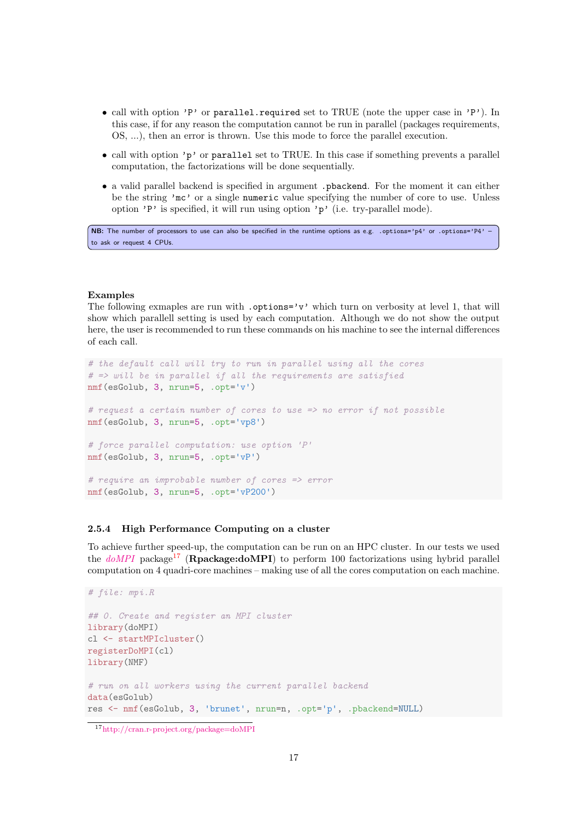- call with option 'P' or parallel.required set to TRUE (note the upper case in 'P'). In this case, if for any reason the computation cannot be run in parallel (packages requirements, OS, ...), then an error is thrown. Use this mode to force the parallel execution.
- call with option 'p' or parallel set to TRUE. In this case if something prevents a parallel computation, the factorizations will be done sequentially.
- a valid parallel backend is specified in argument .pbackend. For the moment it can either be the string 'mc' or a single numeric value specifying the number of core to use. Unless option 'P' is specified, it will run using option 'p' (i.e. try-parallel mode).

NB: The number of processors to use can also be specified in the runtime options as e.g. . options='p4' or .options='P4' – to ask or request 4 CPUs.

#### Examples

The following exmaples are run with .options='v' which turn on verbosity at level 1, that will show which parallell setting is used by each computation. Although we do not show the output here, the user is recommended to run these commands on his machine to see the internal differences of each call.

```
# the default call will try to run in parallel using all the cores
# \Rightarrow will be in parallel if all the requirements are satisfied
nmf(esGolub, 3, nrun=5, .opt='v')
# request a certain number of cores to use => no error if not possible
nmf(esGolub, 3, nrun=5, .opt='vp8')
# force parallel computation: use option 'P'
nmf(esGolub, 3, nrun=5, .opt='vP')
# require an improbable number of cores => error
nmf(esGolub, 3, nrun=5, .opt='vP200')
```
#### <span id="page-16-0"></span>2.5.4 High Performance Computing on a cluster

To achieve further speed-up, the computation can be run on an HPC cluster. In our tests we used the  $doMPI$  package<sup>[17](#page-16-1)</sup> (**Rpackage:doMPI**) to perform 100 factorizations using hybrid parallel computation on 4 quadri-core machines – making use of all the cores computation on each machine.

```
# file: mpi.R
## 0. Create and register an MPI cluster
library(doMPI)
cl <- startMPIcluster()
registerDoMPI(cl)
library(NMF)
# run on all workers using the current parallel backend
data(esGolub)
res <- nmf(esGolub, 3, 'brunet', nrun=n, .opt='p', .pbackend=NULL)
```
<span id="page-16-1"></span><sup>17</sup><http://cran.r-project.org/package=doMPI>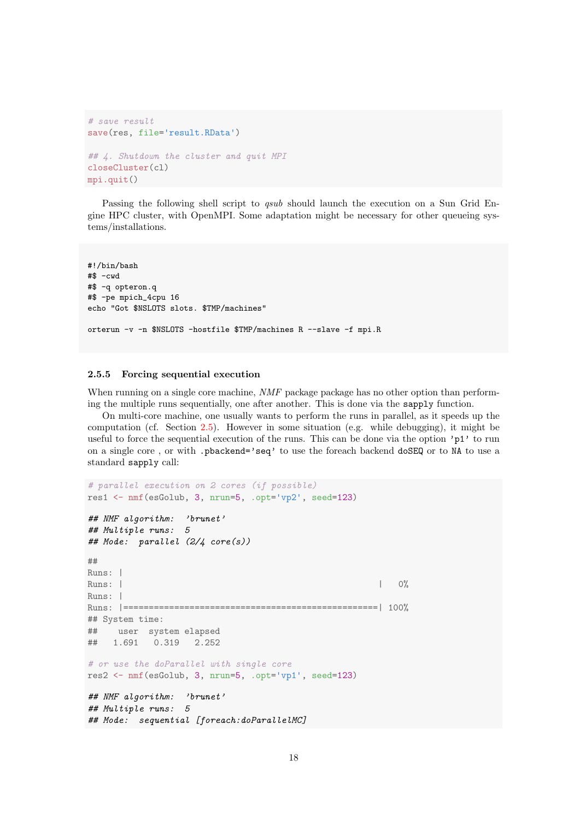```
# save result
save(res, file='result.RData')
## 4. Shutdown the cluster and quit MPI
closeCluster(cl)
mpi.quit()
```
Passing the following shell script to *qsub* should launch the execution on a Sun Grid Engine HPC cluster, with OpenMPI. Some adaptation might be necessary for other queueing systems/installations.

```
#!/bin/bash
#$ -cwd
#$ -q opteron.q
#$ -pe mpich_4cpu 16
echo "Got $NSLOTS slots. $TMP/machines"
orterun -v -n $NSLOTS -hostfile $TMP/machines R --slave -f mpi.R
```
#### <span id="page-17-0"></span>2.5.5 Forcing sequential execution

When running on a single core machine, NMF package package has no other option than performing the multiple runs sequentially, one after another. This is done via the sapply function.

On multi-core machine, one usually wants to perform the runs in parallel, as it speeds up the computation (cf. Section [2.5\)](#page-15-0). However in some situation (e.g. while debugging), it might be useful to force the sequential execution of the runs. This can be done via the option 'p1' to run on a single core , or with .pbackend='seq' to use the foreach backend doSEQ or to NA to use a standard sapply call:

```
# parallel execution on 2 cores (if possible)
res1 <- nmf(esGolub, 3, nrun=5, .opt='vp2', seed=123)
## NMF algorithm: 'brunet'
## Multiple runs: 5
## Mode: parallel (2/4 core(s))
##
Runs: |
Runs: | 0%
Runs: |
Runs: |==================================================| 100%
## System time:
## user system elapsed
## 1.691 0.319 2.252
# or use the doParallel with single core
res2 <- nmf(esGolub, 3, nrun=5, .opt='vp1', seed=123)
## NMF algorithm: 'brunet'
## Multiple runs: 5
## Mode: sequential [foreach:doParallelMC]
```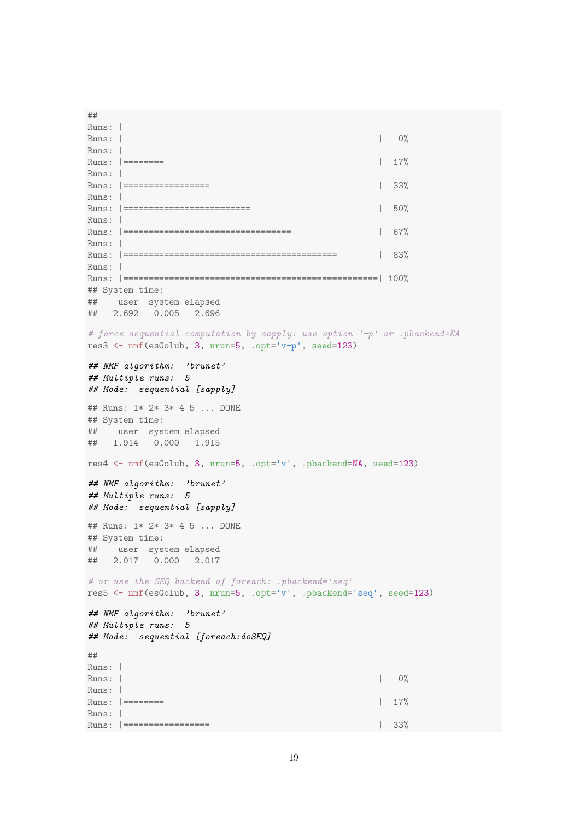## Runs: | Runs:  $|$  0% Runs: | Runs: |======== | 17% Runs: | Runs: |================= | 33% Runs: | Runs: |========================= | 50% Runs: | Runs: |================================= | 67% Runs: | Runs: |========================================== | 83% Runs: | Runs: |==================================================| 100% ## System time: ## user system elapsed ## 2.692 0.005 2.696 # force sequential computation by sapply: use option '-p' or .pbackend=NA res3 <- nmf(esGolub, 3, nrun=5, .opt='v-p', seed=123) ## NMF algorithm: 'brunet' ## Multiple runs: 5 ## Mode: sequential [sapply] ## Runs: 1\* 2\* 3\* 4 5 ... DONE ## System time: ## user system elapsed ## 1.914 0.000 1.915 res4 <- nmf(esGolub, 3, nrun=5, .opt='v', .pbackend=NA, seed=123) ## NMF algorithm: 'brunet' ## Multiple runs: 5 ## Mode: sequential [sapply] ## Runs: 1\* 2\* 3\* 4 5 ... DONE ## System time: ## user system elapsed ## 2.017 0.000 2.017 # or use the SEQ backend of foreach: .pbackend='seq' res5 <- nmf(esGolub, 3, nrun=5, .opt='v', .pbackend='seq', seed=123) ## NMF algorithm: 'brunet' ## Multiple runs: 5 ## Mode: sequential [foreach:doSEQ] ## Runs: | Runs:  $|$  0% Runs: | Runs:  $|$  ========  $|$  17% Runs: | Runs: |================= | 33%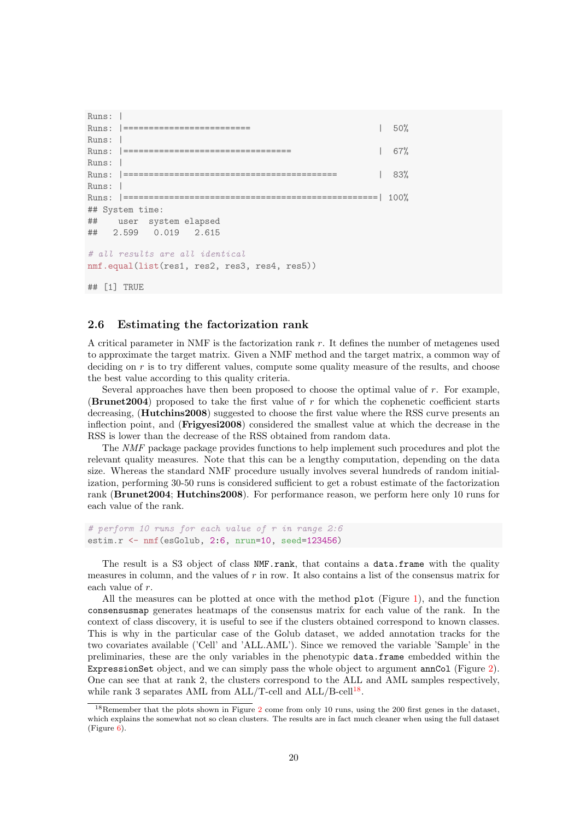```
Runs: |
Runs: |========================= | 50%
Runs:
Runs: |================================= | 67%
Runs:
Runs: |========================================== | 83%
Runs: |
Runs: |==================================================| 100%
## System time:
## user system elapsed
## 2.599 0.019 2.615
# all results are all identical
nmf.equal(list(res1, res2, res3, res4, res5))
## [1] TRUE
```
#### <span id="page-19-0"></span>2.6 Estimating the factorization rank

A critical parameter in NMF is the factorization rank r. It defines the number of metagenes used to approximate the target matrix. Given a NMF method and the target matrix, a common way of deciding on  $r$  is to try different values, compute some quality measure of the results, and choose the best value according to this quality criteria.

Several approaches have then been proposed to choose the optimal value of r. For example, (Brunet2004) proposed to take the first value of r for which the cophenetic coefficient starts decreasing, (**Hutchins2008**) suggested to choose the first value where the RSS curve presents an inflection point, and (Frigyesi2008) considered the smallest value at which the decrease in the RSS is lower than the decrease of the RSS obtained from random data.

The NMF package package provides functions to help implement such procedures and plot the relevant quality measures. Note that this can be a lengthy computation, depending on the data size. Whereas the standard NMF procedure usually involves several hundreds of random initialization, performing 30-50 runs is considered sufficient to get a robust estimate of the factorization rank (Brunet2004; Hutchins2008). For performance reason, we perform here only 10 runs for each value of the rank.

```
# perform 10 runs for each value of r in range 2:6
estim.r <- nmf(esGolub, 2:6, nrun=10, seed=123456)
```
The result is a S3 object of class NMF.rank, that contains a data.frame with the quality measures in column, and the values of  $r$  in row. It also contains a list of the consensus matrix for each value of r.

All the measures can be plotted at once with the method plot (Figure [1\)](#page-20-0), and the function consensusmap generates heatmaps of the consensus matrix for each value of the rank. In the context of class discovery, it is useful to see if the clusters obtained correspond to known classes. This is why in the particular case of the Golub dataset, we added annotation tracks for the two covariates available ('Cell' and 'ALL.AML'). Since we removed the variable 'Sample' in the preliminaries, these are the only variables in the phenotypic data.frame embedded within the ExpressionSet object, and we can simply pass the whole object to argument annCol (Figure [2\)](#page-20-1). One can see that at rank 2, the clusters correspond to the ALL and AML samples respectively, while rank 3 separates AML from  $ALL/T\text{-cell}$  and  $ALL/B\text{-cell}^{18}$  $ALL/B\text{-cell}^{18}$  $ALL/B\text{-cell}^{18}$ .

<span id="page-19-1"></span><sup>18</sup>Remember that the plots shown in Figure [2](#page-20-1) come from only 10 runs, using the 200 first genes in the dataset, which explains the somewhat not so clean clusters. The results are in fact much cleaner when using the full dataset (Figure [6\)](#page-33-0).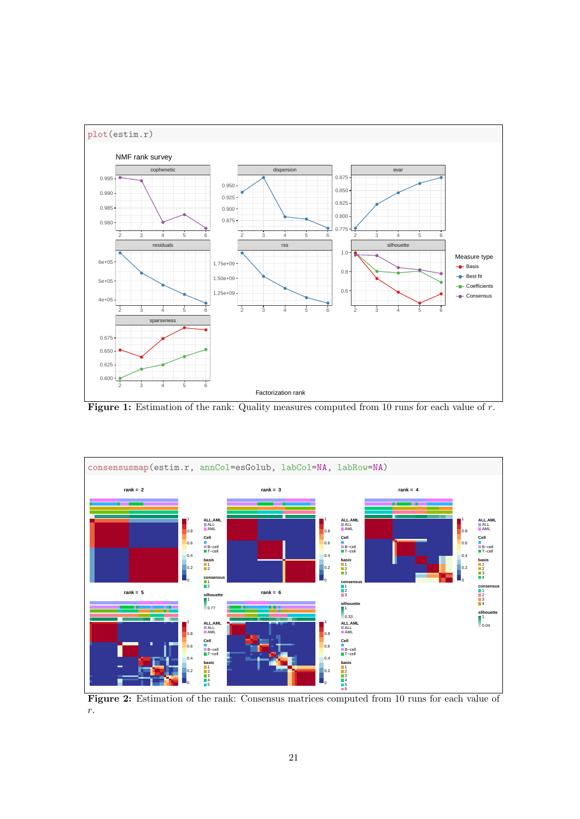

<span id="page-20-0"></span>Figure 1: Estimation of the rank: Quality measures computed from 10 runs for each value of r.



<span id="page-20-1"></span>Figure 2: Estimation of the rank: Consensus matrices computed from 10 runs for each value of r.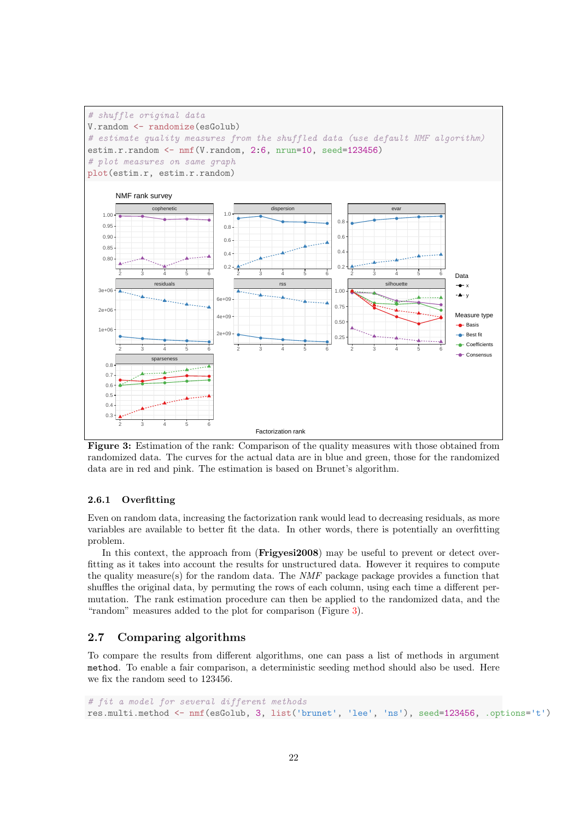

<span id="page-21-2"></span>Figure 3: Estimation of the rank: Comparison of the quality measures with those obtained from randomized data. The curves for the actual data are in blue and green, those for the randomized data are in red and pink. The estimation is based on Brunet's algorithm.

#### <span id="page-21-0"></span>2.6.1 Overfitting

Even on random data, increasing the factorization rank would lead to decreasing residuals, as more variables are available to better fit the data. In other words, there is potentially an overfitting problem.

In this context, the approach from (Frigyesi2008) may be useful to prevent or detect overfitting as it takes into account the results for unstructured data. However it requires to compute the quality measure(s) for the random data. The NMF package package provides a function that shuffles the original data, by permuting the rows of each column, using each time a different permutation. The rank estimation procedure can then be applied to the randomized data, and the "random" measures added to the plot for comparison (Figure [3\)](#page-21-2).

### <span id="page-21-1"></span>2.7 Comparing algorithms

To compare the results from different algorithms, one can pass a list of methods in argument method. To enable a fair comparison, a deterministic seeding method should also be used. Here we fix the random seed to 123456.

```
# fit a model for several different methods
res.multi.method <- nmf(esGolub, 3, list('brunet', 'lee', 'ns'), seed=123456, .options='t')
```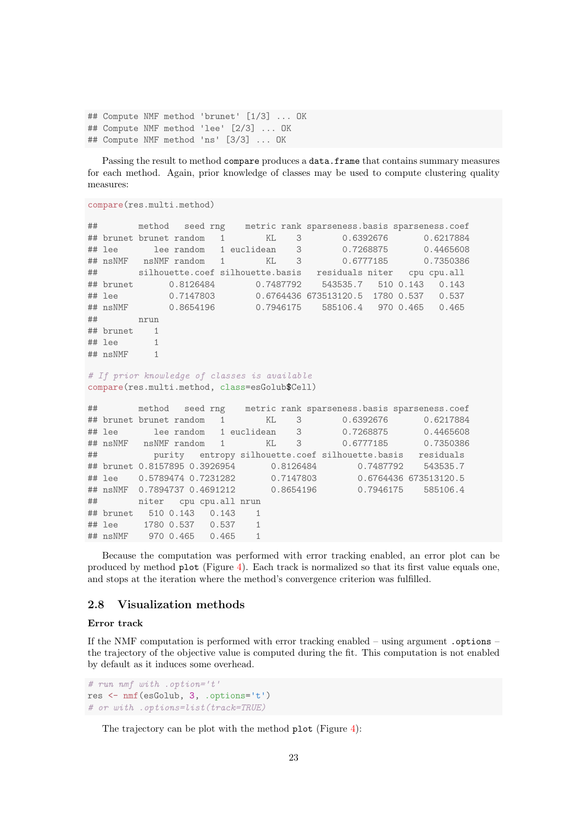```
## Compute NMF method 'brunet' [1/3] ... OK
## Compute NMF method 'lee' [2/3] ... OK
## Compute NMF method 'ns' [3/3] ... OK
```
Passing the result to method compare produces a data.frame that contains summary measures for each method. Again, prior knowledge of classes may be used to compute clustering quality measures:

```
compare(res.multi.method)
```

```
## method seed rng metric rank sparseness.basis sparseness.coef
## brunet brunet random 1 KL 3 0.6392676 0.6217884
## lee lee random 1 euclidean 3 0.7268875 0.4465608
## nsNMF nsNMF random 1 KL 3 0.6777185 0.7350386
## silhouette.coef silhouette.basis residuals niter cpu cpu.all
## brunet 0.8126484 0.7487792 543535.7 510 0.143 0.143
## lee 0.7147803 0.6764436 673513120.5 1780 0.537 0.537
## nsNMF 0.8654196 0.7946175 585106.4 970 0.465 0.465
## nrun
## brunet 1
## lee 1
## nsNMF 1
# If prior knowledge of classes is available
compare(res.multi.method, class=esGolub$Cell)
## method seed rng metric rank sparseness.basis sparseness.coef
## brunet brunet random 1 KL 3 0.6392676 0.6217884
## lee lee random 1 euclidean 3 0.7268875 0.4465608
## nsNMF nsNMF random 1 KL 3 0.6777185 0.7350386
## purity entropy silhouette.coef silhouette.basis residuals
## brunet 0.8157895 0.3926954 0.8126484 0.7487792 543535.7
## lee 0.5789474 0.7231282 0.7147803 0.6764436 673513120.5
## nsNMF 0.7894737 0.4691212 0.8654196 0.7946175 585106.4
## niter cpu cpu.all nrun
## brunet 510 0.143 0.143 1
## lee 1780 0.537 0.537 1
## nsNMF 970 0.465 0.465 1
```
Because the computation was performed with error tracking enabled, an error plot can be produced by method plot (Figure [4\)](#page-23-1). Each track is normalized so that its first value equals one, and stops at the iteration where the method's convergence criterion was fulfilled.

### <span id="page-22-0"></span>2.8 Visualization methods

#### Error track

If the NMF computation is performed with error tracking enabled – using argument .options – the trajectory of the objective value is computed during the fit. This computation is not enabled by default as it induces some overhead.

```
# run nmf with .option='t'
res <- nmf(esGolub, 3, .options='t')
# or with .options=list(track=TRUE)
```
The trajectory can be plot with the method plot (Figure [4\)](#page-23-1):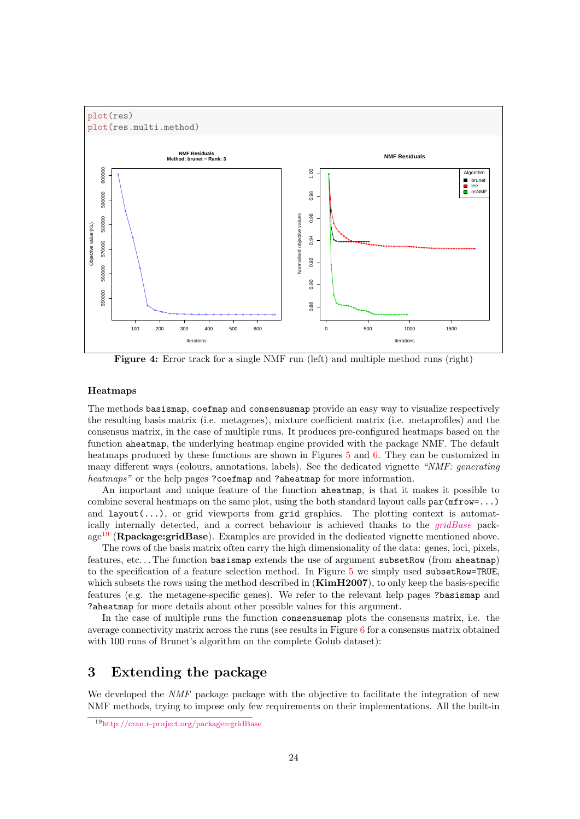

<span id="page-23-1"></span>Figure 4: Error track for a single NMF run (left) and multiple method runs (right)

#### Heatmaps

The methods basismap, coefmap and consensusmap provide an easy way to visualize respectively the resulting basis matrix (i.e. metagenes), mixture coefficient matrix (i.e. metaprofiles) and the consensus matrix, in the case of multiple runs. It produces pre-configured heatmaps based on the function aheatmap, the underlying heatmap engine provided with the package NMF. The default heatmaps produced by these functions are shown in Figures [5](#page-24-2) and [6.](#page-33-0) They can be customized in many different ways (colours, annotations, labels). See the dedicated vignette "NMF: generating heatmaps" or the help pages ?coefmap and ?aheatmap for more information.

An important and unique feature of the function aheatmap, is that it makes it possible to combine several heatmaps on the same plot, using the both standard layout calls  $par(mfrow=...)$ and  $l$ ayout $(\ldots)$ , or grid viewports from grid graphics. The plotting context is automatically internally detected, and a correct behaviour is achieved thanks to the [gridBase](http://cran.r-project.org/package=gridBase) pack-age<sup>[19](#page-23-2)</sup> (Rpackage:gridBase). Examples are provided in the dedicated vignette mentioned above.

The rows of the basis matrix often carry the high dimensionality of the data: genes, loci, pixels, features, etc. . . The function basismap extends the use of argument subsetRow (from aheatmap) to the specification of a feature selection method. In Figure [5](#page-24-2) we simply used subsetRow=TRUE, which subsets the rows using the method described in  $(KimH2007)$ , to only keep the basis-specific features (e.g. the metagene-specific genes). We refer to the relevant help pages ?basismap and ?aheatmap for more details about other possible values for this argument.

In the case of multiple runs the function consensusmap plots the consensus matrix, i.e. the average connectivity matrix across the runs (see results in Figure [6](#page-33-0) for a consensus matrix obtained with 100 runs of Brunet's algorithm on the complete Golub dataset):

# <span id="page-23-0"></span>3 Extending the package

We developed the *NMF* package package with the objective to facilitate the integration of new NMF methods, trying to impose only few requirements on their implementations. All the built-in

<span id="page-23-2"></span><sup>19</sup><http://cran.r-project.org/package=gridBase>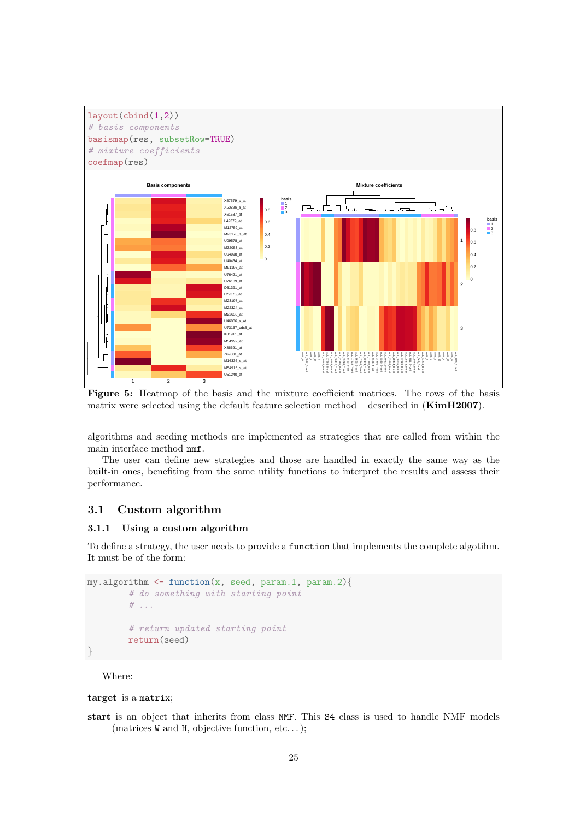

<span id="page-24-2"></span>Figure 5: Heatmap of the basis and the mixture coefficient matrices. The rows of the basis matrix were selected using the default feature selection method – described in  $(KimH2007)$ .

algorithms and seeding methods are implemented as strategies that are called from within the main interface method nmf.

The user can define new strategies and those are handled in exactly the same way as the built-in ones, benefiting from the same utility functions to interpret the results and assess their performance.

### <span id="page-24-0"></span>3.1 Custom algorithm

#### <span id="page-24-1"></span>3.1.1 Using a custom algorithm

To define a strategy, the user needs to provide a function that implements the complete algotihm. It must be of the form:

```
my.algorithms \leftarrow function(x, seed, param.1, param.2)# do something with starting point
        # . . .
        # return updated starting point
        return(seed)
}
```
Where:

target is a matrix;

start is an object that inherits from class NMF. This S4 class is used to handle NMF models (matrices W and H, objective function, etc. . . );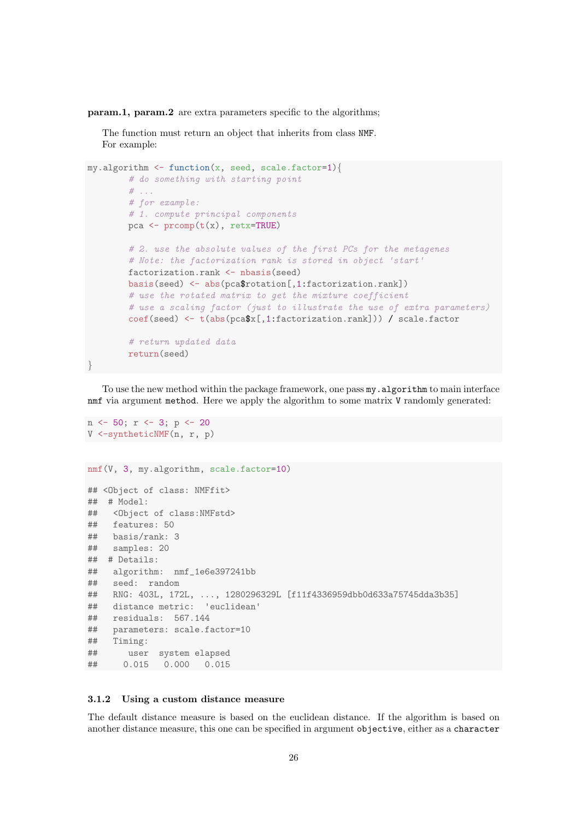param.1, param.2 are extra parameters specific to the algorithms;

The function must return an object that inherits from class NMF. For example:

```
my.algorithms \leftarrow function(x, seed, scale.factor=1)# do something with starting point
        # ...
        # for example:
        # 1. compute principal components
        pca \leq prcomp(t(x), retx=TRUE)
        # 2. use the absolute values of the first PCs for the metagenes
        # Note: the factorization rank is stored in object 'start'
        factorization.rank <- nbasis(seed)
        basis(seed) <- abs(pca$rotation[,1:factorization.rank])
        # use the rotated matrix to get the mixture coefficient
        # use a scaling factor (just to illustrate the use of extra parameters)
        coef(seed) <- t(abs(pca$x[,1:factorization.rank])) / scale.factor
        # return updated data
        return(seed)
}
```
To use the new method within the package framework, one pass  $my$ . algorithm to main interface nmf via argument method. Here we apply the algorithm to some matrix V randomly generated:

```
n <- 50; r <- 3; p <- 20
V <-syntheticNMF(n, r, p)
nmf(V, 3, my.algorithm, scale.factor=10)
## <Object of class: NMFfit>
## # Model:
## <Object of class:NMFstd>
## features: 50
## basis/rank: 3
## samples: 20
## # Details:
## algorithm: nmf_1e6e397241bb
## seed: random
## RNG: 403L, 172L, ..., 1280296329L [f11f4336959dbb0d633a75745dda3b35]
## distance metric: 'euclidean'
## residuals: 567.144
## parameters: scale.factor=10
## Timing:
## user system elapsed
## 0.015 0.000 0.015
```
#### <span id="page-25-0"></span>3.1.2 Using a custom distance measure

The default distance measure is based on the euclidean distance. If the algorithm is based on another distance measure, this one can be specified in argument objective, either as a character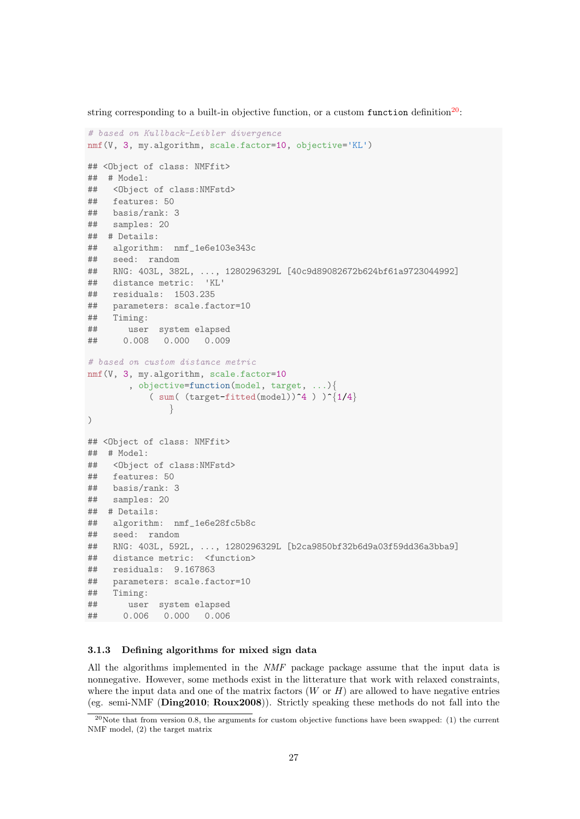string corresponding to a built-in objective function, or a custom function definition<sup>[20](#page-26-1)</sup>:

```
# based on Kullback-Leibler divergence
nmf(V, 3, my.algorithm, scale.factor=10, objective='KL')
## <Object of class: NMFfit>
## # Model:
## <Object of class:NMFstd>
## features: 50
## basis/rank: 3
## samples: 20
## # Details:
## algorithm: nmf_1e6e103e343c
## seed: random
## RNG: 403L, 382L, ..., 1280296329L [40c9d89082672b624bf61a9723044992]
## distance metric: 'KL'
## residuals: 1503.235
## parameters: scale.factor=10
## Timing:
## user system elapsed
## 0.008 0.000 0.009
# based on custom distance metric
nmf(V, 3, my.algorithm, scale.factor=10
       , objective=function(model, target, ...){
           ( sum( (target-fitted(model))^4 ) )^{1/4}
               }
)
## <Object of class: NMFfit>
## # Model:
## <Object of class:NMFstd>
## features: 50
## basis/rank: 3
## samples: 20
## # Details:
## algorithm: nmf_1e6e28fc5b8c
## seed: random
## RNG: 403L, 592L, ..., 1280296329L [b2ca9850bf32b6d9a03f59dd36a3bba9]
## distance metric: <function>
## residuals: 9.167863
## parameters: scale.factor=10
## Timing:
## user system elapsed
## 0.006 0.000 0.006
```
#### <span id="page-26-0"></span>3.1.3 Defining algorithms for mixed sign data

All the algorithms implemented in the NMF package package assume that the input data is nonnegative. However, some methods exist in the litterature that work with relaxed constraints, where the input data and one of the matrix factors  $(W \text{ or } H)$  are allowed to have negative entries (eg. semi-NMF (Ding2010; Roux2008)). Strictly speaking these methods do not fall into the

<span id="page-26-1"></span><sup>20</sup>Note that from version 0.8, the arguments for custom objective functions have been swapped: (1) the current NMF model, (2) the target matrix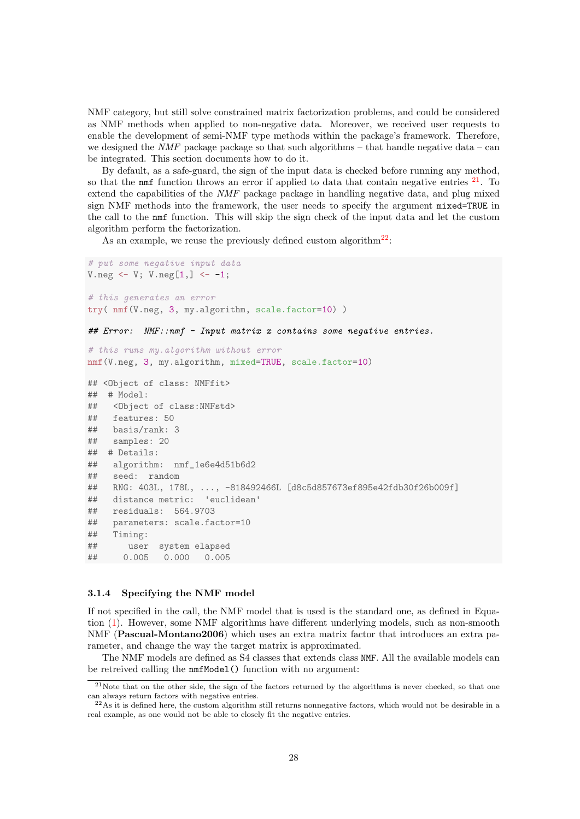NMF category, but still solve constrained matrix factorization problems, and could be considered as NMF methods when applied to non-negative data. Moreover, we received user requests to enable the development of semi-NMF type methods within the package's framework. Therefore, we designed the *NMF* package package so that such algorithms – that handle negative data – can be integrated. This section documents how to do it.

By default, as a safe-guard, the sign of the input data is checked before running any method, so that the  $n$ m ffunction throws an error if applied to data that contain negative entries  $21$ . To extend the capabilities of the NMF package package in handling negative data, and plug mixed sign NMF methods into the framework, the user needs to specify the argument mixed=TRUE in the call to the nmf function. This will skip the sign check of the input data and let the custom algorithm perform the factorization.

As an example, we reuse the previously defined custom algorithm<sup>[22](#page-27-2)</sup>:

```
# put some negative input data
V.neg \leftarrow V; V.neg[1,] \leftarrow -1;# this generates an error
try( nmf(V.neg, 3, my.algorithm, scale.factor=10) )
## Error: NMF::nmf - Input matrix x contains some negative entries.
# this runs my.algorithm without error
nmf(V.neg, 3, my.algorithm, mixed=TRUE, scale.factor=10)
## <Object of class: NMFfit>
## # Model:
## <Object of class:NMFstd>
## features: 50
## basis/rank: 3
## samples: 20
## # Details:
## algorithm: nmf_1e6e4d51b6d2
## seed: random
## RNG: 403L, 178L, ..., -818492466L [d8c5d857673ef895e42fdb30f26b009f]
## distance metric: 'euclidean'
## residuals: 564.9703
## parameters: scale.factor=10
## Timing:
## user system elapsed
## 0.005 0.000 0.005
```
#### <span id="page-27-0"></span>3.1.4 Specifying the NMF model

If not specified in the call, the NMF model that is used is the standard one, as defined in Equation [\(1\)](#page-2-4). However, some NMF algorithms have different underlying models, such as non-smooth NMF (Pascual-Montano2006) which uses an extra matrix factor that introduces an extra parameter, and change the way the target matrix is approximated.

The NMF models are defined as S4 classes that extends class NMF. All the available models can be retreived calling the nmfModel() function with no argument:

<span id="page-27-1"></span> $21$ Note that on the other side, the sign of the factors returned by the algorithms is never checked, so that one can always return factors with negative entries.

<span id="page-27-2"></span> $^{22}$ As it is defined here, the custom algorithm still returns nonnegative factors, which would not be desirable in a real example, as one would not be able to closely fit the negative entries.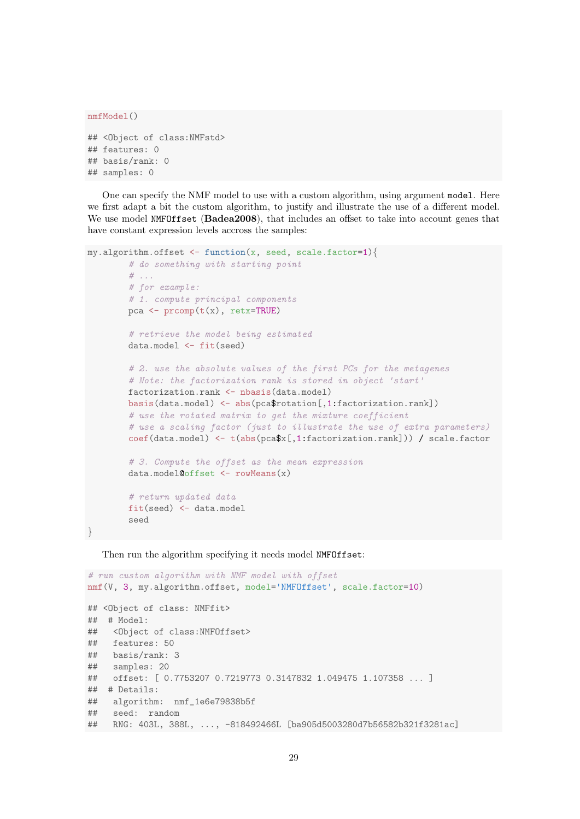```
nmfModel()
## <Object of class:NMFstd>
## features: 0
## basis/rank: 0
## samples: 0
```
One can specify the NMF model to use with a custom algorithm, using argument model. Here we first adapt a bit the custom algorithm, to justify and illustrate the use of a different model. We use model NMFOffset (Badea2008), that includes an offset to take into account genes that have constant expression levels accross the samples:

```
my.algorithms.offset \leftarrow function(x, seed, scale.factor=1)# do something with starting point
        # . . .
        # for example:
        # 1. compute principal components
        pca \leq prcomp(t(x), retx=TRUE)
        # retrieve the model being estimated
        data.model <- fit(seed)
        # 2. use the absolute values of the first PCs for the metagenes
        # Note: the factorization rank is stored in object 'start'
        factorization.rank <- nbasis(data.model)
        basis(data.model) <- abs(pca$rotation[,1:factorization.rank])
        # use the rotated matrix to get the mixture coefficient
        # use a scaling factor (just to illustrate the use of extra parameters)
        coef(data.model) <- t(abs(pca$x[,1:factorization.rank])) / scale.factor
        # 3. Compute the offset as the mean expression
        data.model@offset <- rowMeans(x)
        # return updated data
        fit(seed) <- data.model
        seed
}
```
Then run the algorithm specifying it needs model NMFOffset:

```
# run custom algorithm with NMF model with offset
nmf(V, 3, my.algorithm.offset, model='NMFOffset', scale.factor=10)
## <Object of class: NMFfit>
## # Model:
## <Object of class:NMFOffset>
## features: 50
## basis/rank: 3
## samples: 20
## offset: [ 0.7753207 0.7219773 0.3147832 1.049475 1.107358 ... ]
## # Details:
## algorithm: nmf_1e6e79838b5f
## seed: random
## RNG: 403L, 388L, ..., -818492466L [ba905d5003280d7b56582b321f3281ac]
```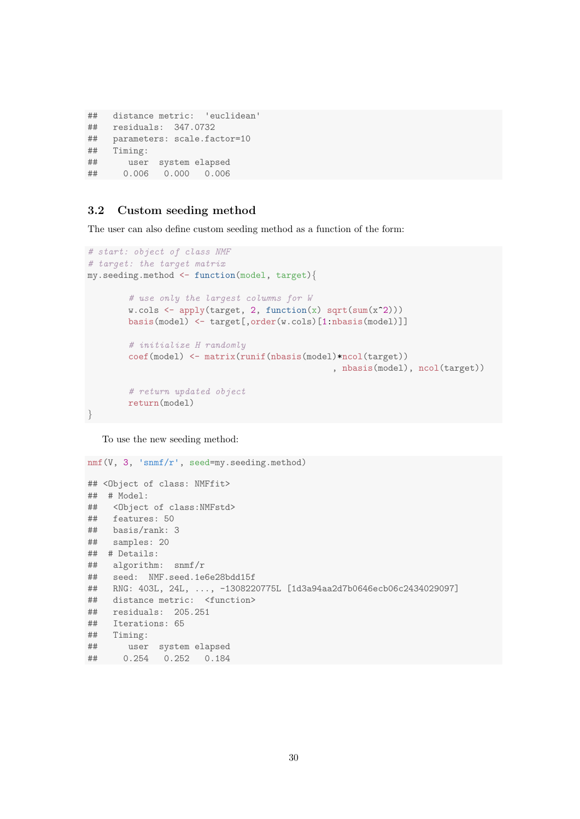```
## distance metric: 'euclidean'
## residuals: 347.0732
## parameters: scale.factor=10
## Timing:
## user system elapsed
## 0.006 0.000 0.006
```
# <span id="page-29-0"></span>3.2 Custom seeding method

The user can also define custom seeding method as a function of the form:

```
# start: object of class NMF
# target: the target matrix
my.seeding.method <- function(model, target){
         # use only the largest columns for W
         w.\text{cols} \leftarrow \text{apply}(\text{target}, 2, \text{function}(x) \text{ sqrt}(\text{sum}(x^2)))basis(model) <- target[,order(w.cols)[1:nbasis(model)]]
         # initialize H randomly
         coef(model) <- matrix(runif(nbasis(model)*ncol(target))
                                                       , nbasis(model), ncol(target))
         # return updated object
         return(model)
}
```
To use the new seeding method:

```
nmf(V, 3, 'snmf/r', seed=my.seeding.method)
## <Object of class: NMFfit>
## # Model:
## <Object of class:NMFstd>
## features: 50
## basis/rank: 3
## samples: 20
## # Details:
## algorithm: snmf/r
## seed: NMF.seed.1e6e28bdd15f
## RNG: 403L, 24L, ..., -1308220775L [1d3a94aa2d7b0646ecb06c2434029097]
## distance metric: <function>
## residuals: 205.251
## Iterations: 65
## Timing:
## user system elapsed
## 0.254 0.252 0.184
```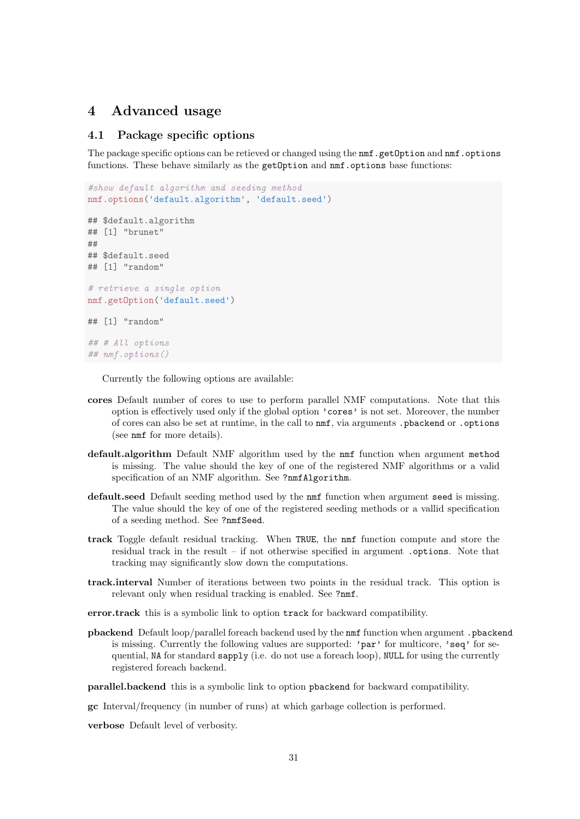# <span id="page-30-0"></span>4 Advanced usage

### <span id="page-30-1"></span>4.1 Package specific options

The package specific options can be retieved or changed using the nmf.getOption and nmf.options functions. These behave similarly as the getOption and  $nmf$  options base functions:

```
#show default algorithm and seeding method
nmf.options('default.algorithm', 'default.seed')
## $default.algorithm
## [1] "brunet"
##
## $default.seed
## [1] "random"
# retrieve a single option
nmf.getOption('default.seed')
## [1] "random"
## # All options
## nmf.options()
```
Currently the following options are available:

- cores Default number of cores to use to perform parallel NMF computations. Note that this option is effectively used only if the global option 'cores' is not set. Moreover, the number of cores can also be set at runtime, in the call to nmf, via arguments .pbackend or .options (see nmf for more details).
- default.algorithm Default NMF algorithm used by the nmf function when argument method is missing. The value should the key of one of the registered NMF algorithms or a valid specification of an NMF algorithm. See ?nmfAlgorithm.
- default.seed Default seeding method used by the nmf function when argument seed is missing. The value should the key of one of the registered seeding methods or a vallid specification of a seeding method. See ?nmfSeed.
- track Toggle default residual tracking. When TRUE, the nmf function compute and store the residual track in the result – if not otherwise specified in argument .options. Note that tracking may significantly slow down the computations.
- track.interval Number of iterations between two points in the residual track. This option is relevant only when residual tracking is enabled. See ?nmf.

error.track this is a symbolic link to option track for backward compatibility.

pbackend Default loop/parallel foreach backend used by the nmf function when argument .pbackend is missing. Currently the following values are supported: 'par' for multicore, 'seq' for sequential, NA for standard sapply (i.e. do not use a foreach loop), NULL for using the currently registered foreach backend.

parallel.backend this is a symbolic link to option pbackend for backward compatibility.

gc Interval/frequency (in number of runs) at which garbage collection is performed.

verbose Default level of verbosity.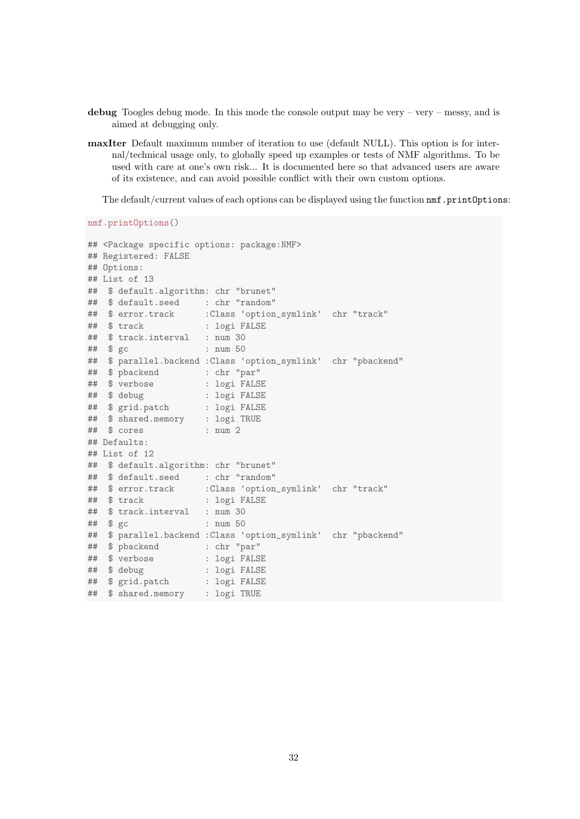- debug Toogles debug mode. In this mode the console output may be very very messy, and is aimed at debugging only.
- maxIter Default maximum number of iteration to use (default NULL). This option is for internal/technical usage only, to globally speed up examples or tests of NMF algorithms. To be used with care at one's own risk... It is documented here so that advanced users are aware of its existence, and can avoid possible conflict with their own custom options.

The default/current values of each options can be displayed using the function nmf.printOptions:

nmf.printOptions()

```
## <Package specific options: package:NMF>
## Registered: FALSE
## Options:
## List of 13
## $ default.algorithm: chr "brunet"
## $ default.seed : chr "random"
                  :Class 'option_symlink' chr "track"
## $ track : logi FALSE
## $ track.interval : num 30
## $ gc : num 50
## $ parallel.backend :Class 'option_symlink' chr "pbackend"
## $ pbackend : chr "par"
## $ verbose : logi FALSE
## $ debug : logi FALSE
## $ grid.patch : logi FALSE
## $ shared.memory : logi TRUE
## $ cores : num 2
## Defaults:
## List of 12
## $ default.algorithm: chr "brunet"
## $ default.seed : chr "random"
                  :Class 'option_symlink' chr "track"
## $ track : logi FALSE
## $ track.interval : num 30
## $ gc : num 50
## $ parallel.backend :Class 'option_symlink' chr "pbackend"
## $ pbackend : chr "par"
## $ verbose : logi FALSE
## $ debug : logi FALSE
## $ grid.patch : logi FALSE
## $ shared.memory : logi TRUE
```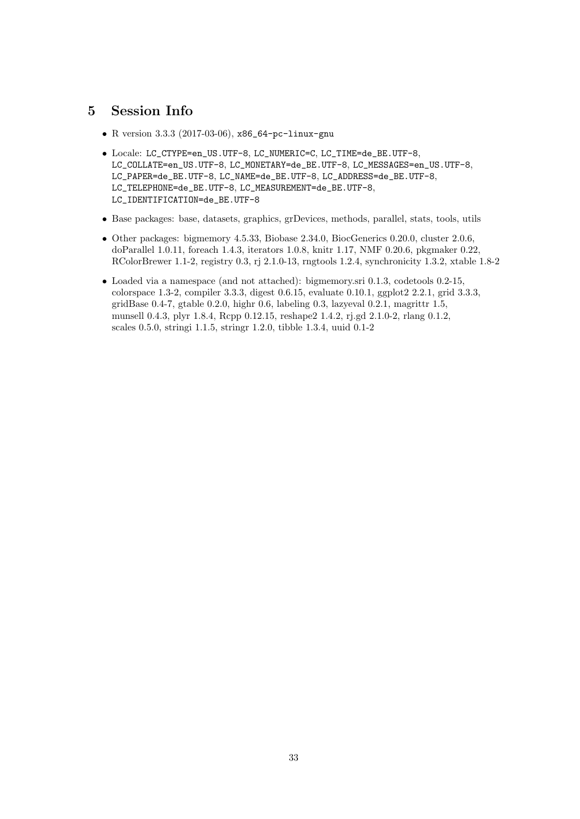# <span id="page-32-0"></span>5 Session Info

- R version 3.3.3 (2017-03-06), x86\_64-pc-linux-gnu
- Locale: LC\_CTYPE=en\_US.UTF-8, LC\_NUMERIC=C, LC\_TIME=de\_BE.UTF-8, LC\_COLLATE=en\_US.UTF-8, LC\_MONETARY=de\_BE.UTF-8, LC\_MESSAGES=en\_US.UTF-8, LC\_PAPER=de\_BE.UTF-8, LC\_NAME=de\_BE.UTF-8, LC\_ADDRESS=de\_BE.UTF-8, LC\_TELEPHONE=de\_BE.UTF-8, LC\_MEASUREMENT=de\_BE.UTF-8, LC\_IDENTIFICATION=de\_BE.UTF-8
- Base packages: base, datasets, graphics, grDevices, methods, parallel, stats, tools, utils
- Other packages: bigmemory 4.5.33, Biobase 2.34.0, BiocGenerics 0.20.0, cluster 2.0.6, doParallel 1.0.11, foreach 1.4.3, iterators 1.0.8, knitr 1.17, NMF 0.20.6, pkgmaker 0.22, RColorBrewer 1.1-2, registry 0.3, rj 2.1.0-13, rngtools 1.2.4, synchronicity 1.3.2, xtable 1.8-2
- Loaded via a namespace (and not attached): bigmemory.sri 0.1.3, codetools 0.2-15, colorspace 1.3-2, compiler 3.3.3, digest 0.6.15, evaluate 0.10.1, ggplot2 2.2.1, grid 3.3.3, gridBase  $0.4$ -7, gtable  $0.2.0$ , highr  $0.6$ , labeling  $0.3$ , lazyeval  $0.2.1$ , magrittr  $1.5$ , munsell 0.4.3, plyr 1.8.4, Rcpp 0.12.15, reshape2 1.4.2, rj.gd 2.1.0-2, rlang 0.1.2, scales 0.5.0, stringi 1.1.5, stringr 1.2.0, tibble 1.3.4, uuid 0.1-2